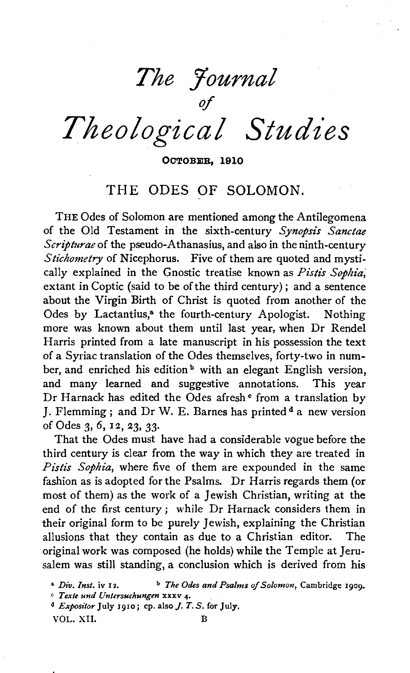*The Journal* 

of *Theological Studies* 

OCTOBER, 1910

## THE ODES OF SOLOMON.

THE Odes of Solomon are mentioned among the Antilegomena of the Old Testament in the sixth-century *Synopsis Sancta& Scripturae* of the pseudo-Athanasius, and also in the ninth-century *Stichometry* of Nicephorus. Five of them are quoted and mystically explained in the Gnostic treatise known as *Pistis Sophia*, extant in Coptic (said to be of the third century); and a sentence about the Virgin Birth of Christ is quoted from another of the Odes by Lactantius,<sup>a</sup> the fourth-century Apologist. Nothing more was known about them until last year, when Dr Rendel Harris printed from a late manuscript in his possession the text of a Syriac translation of the Odes themselves, forty-two in number, and enriched his edition<sup>b</sup> with an elegant English version, and many learned and suggestive annotations. This year Dr Harnack has edited the Odes afresh <sup>e</sup> from a translation by J. Flemming ; and Dr W. E. Barnes has printed  $d$  a new version of Odes 3, 6, 12, 23, 33.

That the Odes must have had a considerable vogue before the third century is clear from the way in which they are treated in Pistis Sophia, where five of them are expounded in the same fashion as is adopted for the Psalms. Dr Harris regards them (or most of them) as the work of a Jewish Christian, writing at the end of the first century; while Dr Harnack considers them in their original form to be purely Jewish, explaining the Christian allusions that they contain as due to a Christian editor. The original work was composed (he holds) while the Temple at Jerusalem was still standing, a conclusion which is derived from his

VOL. XII. B

<sup>&</sup>lt;sup>a</sup> *Div. Inst.* iv 12. b *The Odes and Psalms of Solomon, Cambridge 1909.*<br>C *Texte und Untersuchungen* xxxv 4.

<sup>&</sup>lt;sup>d</sup> Expositor July 1910; cp. also *J. T. S.* for July.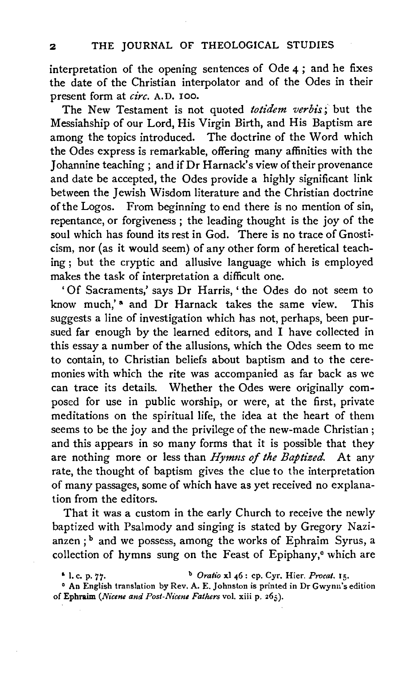interpretation of the opening sentences of Ode 4 ; and he fixes the date of the Christian interpolator and of the Odes in their present form at *circ.* A.D. 100.

The New Testament is not quoted *totidem verbis;* but the Messiahship of our Lord, His Virgin Birth, and His Baptism are among the topics introduced. The doctrine of the Word which the Odes express is remarkable, offering many affinities with the Johannine teaching ; and if Dr Harnack's view of their provenance and date be accepted, the Odes provide a highly significant link between the Jewish Wisdom literature and the Christian doctrine of the Logos. From beginning to end there is no mention of sin, repentance, or forgiveness ; the leading thought is the joy of the soul which has found its rest in God. There is no trace of Gnosti· cism, nor (as it would seem) of any other form of heretical teaching ; but the cryptic and allusive language which is employed makes the task of interpretation a difficult one.

' Of Sacraments,' says Dr Harris, ' the Odes do not seem to know much,'<sup>a</sup> and Dr Harnack takes the same view. This suggests a line of investigation which has not, perhaps, been pursued far enough by the learned editors, and I have collected in this essay a number of the allusions, which the Odes seem to me to contain, to Christian beliefs about baptism and to the cere· monies with which the rite was accompanied as far back as we can trace its details. Whether the Odes were originally composed for use in public worship, or were, at the first, private meditations on the spiritual life, the idea at the heart of them seems to be the joy and the privilege of the new-made Christian ; and this appears in so many forms that it is possible that they are nothing more or less than *Hymns of the Baptized*. At any rate, the thought of baptism gives the clue to the interpretation of many passages, some of which have as yet received no explanation from the editors.

That it was a custom in the early Church to receive the newly baptized with Psalmody and singing is stated by Gregory Nazianzen; <sup>b</sup> and we possess, among the works of Ephraim Syrus, a collection of hymns sung on the Feast of Epiphany,<sup>e</sup> which are

<sup>&</sup>amp; I. c. p. 77· b *Oratio* xl 46: cp. Cyr. Hier. *Procat.* 15.

<sup>•</sup> An English translation by Rev. A. E. Johnston is printed in Dr Gwynn's edition of Ephraim *(Nicene and Post-Nicene Fathers* vol. xiii p. 265).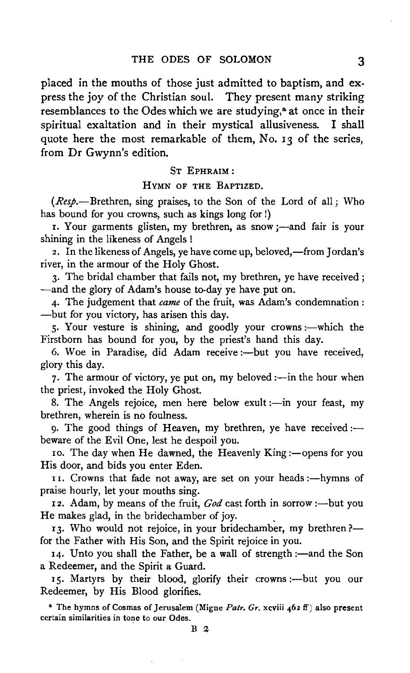placed in the mouths of those just admitted to baptism, and express the joy of the Christian soul. They present many striking resemblances to the Odes which we are studying,<sup>8</sup> at once in their spiritual exaltation and in their mystical allusiveness. I shall quote here the most remarkable of them, No. 13 of the series, from Dr Gwynn's edition.

## ST EPHRAIM:

## HYMN OF THE BAPTIZED.

 $(Resp. - B$ rethren, sing praises, to the Son of the Lord of all; Who has bound for you crowns, such as kings long for !)

r. Your garments glisten, my brethren, as snow;—and fair is your shining in the likeness of Angels !

2. In the likeness of Angels, ye have come up, beloved,—from Jordan's river, in the armour of the Holy Ghost.

3. The bridal chamber that fails not, my brethren, ye have received; -and the glory of Adam's house to-day ye have put on.

4· The judgement that *came* of the fruit, was Adam's condemnation : -but for you victory, has arisen this day.

5. Your vesture is shining, and goodly your crowns :- which the Firstborn has bound for you, by the priest's hand this day.

6. Woe in Paradise, did Adam receive :- but you have received, glory this day.

7. The armour of victory, ye put on, my beloved  $:$ —in the hour when the priest, invoked the Holy Ghost.

8. The Angels rejoice, men here below exult :- in your feast, my brethren, wherein is no foulness.

9. The good things of Heaven, my brethren, ye have received: $\leftarrow$ beware of the Evil One, lest he despoil you.

Io. The day when He dawned, the Heavenly King :- opens for you His door, and bids you enter Eden.

II. Crowns that fade not away, are set on your heads :---hymns of praise hourly, let your mouths sing.

12. Adam, by means of the fruit, *God* cast forth in sorrow :- but you He makes glad, in the bridechamber of joy.

13. Who would not rejoice, in your bridechamber, my brethren?for the Father with His Son, and the Spirit rejoice in you.

14. Unto you shall the Father, be a wall of strength :- and the Son a Redeemer, and the Spirit a Guard.

15. Martyrs by their blood, glorify their crowns :- but you our Redeemer, by His Blood glorifies.

• The hymns of Cosmas of Jerusalem (Migne *Patr. Gr.* xcviii 462 ff) also present certain similarities in tone to our Odes.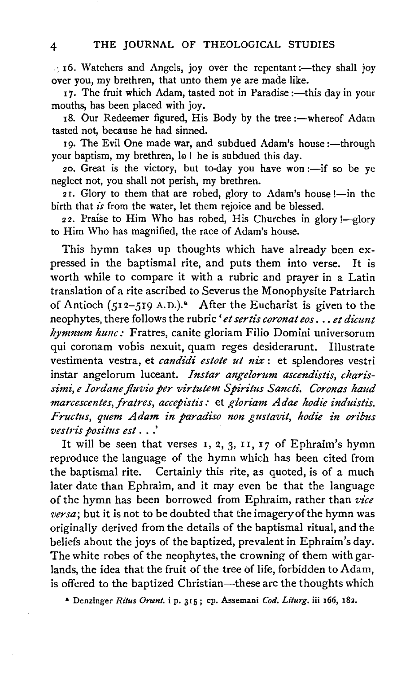$\cdot$  16. Watchers and Angels, joy over the repentant :- they shall joy over you, my brethren, that unto them ye are made like.

17. The fruit which Adam, tasted not in Paradise :- this day in your mouths, has been placed with joy.

18. Our Redeemer figured, His Body by the tree :- whereof Adam tasted not, because he had sinned.

19. The Evil One made war, and subdued Adam's house :- through your baptism, my brethren, lo ! he is subdued this day.

20. Great is the victory, but to-day you have won :- if so be ye neglect not, you shall not perish, my brethren.

21. Glory to them that are robed, glory to Adam's house !- in the birth that *is* from the water, let them rejoice and be blessed.

22. Praise to Him Who has robed, His Churches in glory !- glory to Him Who has magnified, the race of Adam's house.

This hymn takes up thoughts which have already been expressed in the baptismal rite, and puts them into verse. It is worth while to compare it with a rubric and prayer in a Latin translation of a rite ascribed to Severus the Monophysite Patriarch of Antioch  $(512-519 \text{ A.D.})$ ." After the Eucharist is given to the neophytes, there follows the rubric 'et sertis coronat eos . . . et dicunt *hymnum hunc:* Fratres, canite gloriam Filio Domini universorum qui coronam vobis nexuit, quam reges desiderarunt. Illustrate vestimenta vestra, et *candidi estote ut nix* : et splendores vestri instar angelorum luceant. *Instar angelorum ascendistis, charis*simi, e Iordane fluvio per virtutem Spiritus Sancti. Coronas haud *marcescentes, fratres, accepistis:* et *gloriam Adae hodie induistis. Fructus, quem Adam in paradiso non gustavit, hodie in oribus vestris positus est* . . .'

It will be seen that verses  $I$ ,  $2$ ,  $3$ ,  $II$ ,  $I$ 7 of Ephraim's hymn reproduce the language of the hymn which has been cited from the baptismal rite. Certainly this rite, as quoted, is of a much later date than Ephraim, and it may even be that the language of the hymn has been borrowed from Ephraim, rather than *vice versa;* but it is not to be doubted that the imagery of the hymn was originally derived from the details of the baptismal ritual, and the beliefs about the joys of the baptized, prevalent in Ephraim's day. The white robes of the neophytes, the crowning of them with garlands, the idea that the fruit of the tree of life, forbidden to Adam, is offered to the baptized Christian-these are the thoughts which

a Denzinger *Rilus Onent.* i p. 315; cp. Assemani *Cod. Liturg.* iii 166, I8l.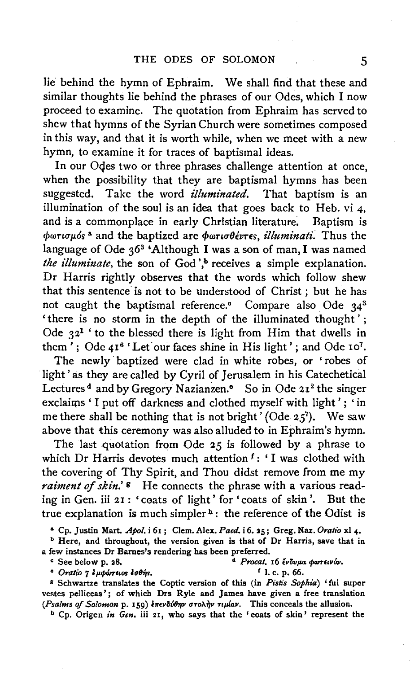lie behind the hymn of Ephraim. We shall find that these and similar thoughts lie behind the phrases of our Odes, which I now proceed to examine. The quotation from Ephraim has served to shew that hymns of the Syrian Church were sometimes composed in this way, and that it is worth while, when we meet with a new hymn, to examine it for traces of baptismal ideas.

In our Oqes two or three phrases challenge attention at once, when the possibility that they are baptismal hymns has been suggested. Take the word *illuminated.* That baptism is an illumination of the soul is an idea that goes back to Heb. vi 4, and is a commonplace in early Christian literature. Baptism is and is a commonplace in early Christian literature.  $φωτισμός<sup>a</sup>$  and the baptized are  $φωτισθέντες$ , *illuminati*. Thus the language of Ode  $3^{63}$  'Although I was a son of man, I was named *the illuminate*, the son of God',<sup>b</sup> receives a simple explanation. Dr Harris rightly observes that the words which follow shew that this sentence is not to be understood of Christ ; but he has not caught the baptismal reference.° Compare also Ode 343 'there is no storm in the depth of the illuminated thought'; Ode  $32<sup>1</sup>$  ' to the blessed there is light from Him that dwells in them'; Ode  $41<sup>6</sup>$  'Let our faces shine in His light'; and Ode 10<sup>7</sup>.

The newly· baptized were clad in white robes, or 'robes of light' as they are called by Cyril of Jerusalem in his Catechetical Lectures<sup>d</sup> and by Gregory Nazianzen.<sup>8</sup> So in Ode 21<sup>2</sup> the singer exclaims 'I put off darkness and clothed myself with light'; 'in me there shall be nothing that is not bright' (Ode  $2.5$ <sup>7</sup>). We saw above that this ceremony was also alluded to in Ephraim's hymn.

The last quotation from Ode 25 is followed by a phrase to which Dr Harris devotes much attention f: 'I was clothed with the covering of Thy Spirit, and Thou didst remove from me my *raiment of skin.'* s He connects the phrase with a various reading in Gen. iii 21 : 'coats of light' for 'coats of skin'. But the true explanation is much simpler<sup>b</sup>: the reference of the Odist is

a Cp. Justin Mart. *Apol.* i 61 ; Clem. Alex. *Paed.* i 6. 25; Greg. Naz. *Oratio* xi 4·

 $b$  Here, and throughout, the version given is that of Dr Harris, save that in a few instances Dr Barnes's rendering has been preferred.<br><sup>4</sup> *Procat*. 16 *Evovia*  $\phi$  *Over Elvov* p. 28.

 $^{\circ}$  *Oratio*  $7 \frac{1}{2} \mu \phi \omega$ reios  $\frac{1}{2} \frac{1}{2} \frac{1}{2}$ . r. p. 66.

<sup>8</sup> Schwartze translates the Coptic version of this (in *Pistis Sophia*) 'fui super vestes pelliceas'; of which Drs Ryle and James have given a free translation *(Psalms of Solomon p. 159) επενδύθην στολήν τιμίαν.* This conceals the allusion.

<sup>h</sup> Cp. Origen *in Gen*. iii 21, who says that the 'coats of skin' represent the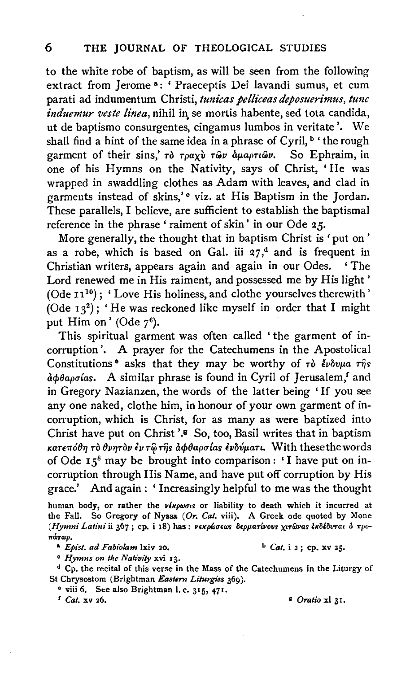to the white robe of baptism, as will be seen from the following extract from Jerome <sup>a</sup>: ' Praeceptis Dei lavandi sumus, et cum parati ad indumentum Christi, tunicas pelliceas deposuerimus, tunc *induemur veste linea*, nihil in se mortis habente, sed tota candida, ut de baptismo consurgentes, cingamus lumbos in veritate'. We shall find a hint of the same idea in a phrase of Cyril, <sup>b</sup> ' the rough garment of their sins,' *To Tpaxv* To *i* apapriov. So Ephraim, in one of his Hymns on the Nativity, says of Christ, 'He was wrapped in swaddling clothes as Adam with leaves, and clad in garments instead of skins,'<sup>e</sup> viz. at His Baptism in the Jordan. These parallels, I believe, are sufficient to establish the baptismal reference in the phrase ' raiment of skin' in our Ode 25.

More generally, the thought that in baptism Christ is 'put on' as a robe, which is based on Gal. iii  $27<sup>d</sup>$  and is frequent in Christian writers, appears again and again in our Odes. ' The Lord renewed me in His raiment, and possessed me by His light '  $($ Ode  $11^{10})$ ; 'Love His holiness, and clothe yourselves therewith' (Ode  $13^2$ ); 'He was reckoned like myself in order that I might put Him on' (Ode  $7^6$ ).

This spiritual garment was often called ' the garment of incorruption'. A prayer for the Catechumens in the Apostolical Constitutions<sup>®</sup> asks that they may be worthy of  $\tau\delta$  *čvovpa*  $\tau\hat{\eta}s$ *aφθαρσίαs.* A similar phrase is found in Cyril of Jerusalem,<sup>f</sup> and in Gregory Nazianzen, the words of the latter being 'If you see any one naked, clothe him, in honour of your own garment of incorruption, which is Christ, for as many as were baptized into Christ have put on Christ '.8 So, too, Basil writes that in baptism *KaT€1T00YJ TO OVYJTOV tvTif!rijs acpOaptT{as fvlivp.an.* With thesethewords of Ode  $15^8$  may be brought into comparison: 'I have put on incorruption through His Name, and have put off corruption by His grace.' And again: ' Increasingly helpful to me was the thought

<sup>a</sup>*Epist. ad Fabiolam* lxiv 20. b *Cat.* i 2 ; cp. xv 25.

<sup>c</sup> Hymns on the Nativity xvi 13.

<sup>d</sup> Cp. the recital of this verse in the Mass of the Catechumens in the Liturgy of St Chrysostom (Brightman *Eastern Liturgies* 369).

<sup>e</sup> viii 6. See aiso Brightman I. c. 315, 471.<br><sup>f</sup> *Cat*. xv 26.

*Oratio* **xl 31.** 

human body, or rather the virpwois or liability to death which it incurred at the Fall. So Gregory of Nyssa *(Or. Cat.* viii). A Greek ode quoted by Mone (Hymni Latini ii 367; cp. i 18) has: νεκρώσεως δερματίνους χιτώνας εκδέδυται ό προπάτωρ.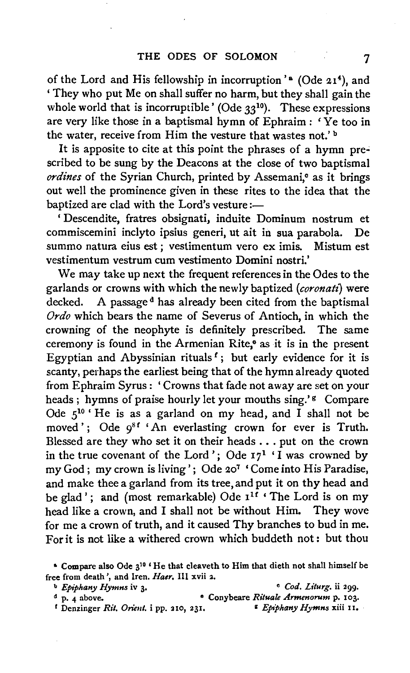of the Lord and His fellowship in incorruption'<sup>8</sup> (Ode 21<sup>4</sup>), and ' They who put Me on shall suffer no harm, but they shall gain the whole world that is incorruptible' (Ode  $33^{10}$ ). These expressions are very like those in a baptismal hymn of Ephraim : 'Ye too in the water, receive from Him the vesture that wastes not.' <sup>b</sup>

It is apposite to cite at this point the phrases of a hymn prescribed to be sung by the Deacons at the close of two baptismal *ordines* of the Syrian Church, printed by Assemani,<sup>o</sup> as it brings out well the prominence given in these rites to the idea that the baptized are clad with the Lord's vesture :-

' Descendite, fratres obsignati, induite Dominum nostrum et commiscemini inclyto ipsius generi, ut ait in sua parabola. De summo natura eius est *;* vestimentum vero ex imis. Mistum est vestimentum vestrum cum vestimento Domini nostri.'

We may take up next the frequent references in the Odes to the garlands or crowns with which the newly baptized *(coronal£)* were decked. A passage<sup>d</sup> has already been cited from the baptismal *Ordo* which bears the name of Severus of Antioch, in which the crowning of the neophyte is definitely prescribed. The same ceremony is found in the Armenian Rite,<sup>®</sup> as it is in the present Egyptian and Abyssinian rituals<sup> $f$ </sup>; but early evidence for it is scanty, perhaps the earliest being that of the hymn already quoted from Ephraim Syrus: 'Crowns that fade not away are set on your heads ; hymns of praise hourly let your mouths sing.'<sup>8</sup> Compare Ode  $5^{10}$  'He is as a garland on my head, and I shall not be moved'; Ode  $9^{8f}$  'An everlasting crown for ever is Truth. Blessed are they who set it on their heads ... put on the crown in the true covenant of the Lord'; Ode  $17<sup>1</sup>$  'I was crowned by my God ; my crown is living'; Ode 207 'Come into His Paradise, and make thee a garland from its tree, and put it on thy head and be glad'; and (most remarkable) Ode  $I^{1f}$  'The Lord is on my head like a crown, and I shall not be without Him. They wove for me a crown of truth, and it caused Thy branches to bud in me. For it is not like a withered crown which buddeth not: but thou

<sup>*t*</sup> Denzinger *Rit. Orient. i* pp. 210, 231. **Represent Bymns** *xiii* 11.

<sup>&</sup>lt;sup>6</sup> Compare also Ode 3<sup>10</sup> 'He that cleaveth to Him that dieth not shall himself be free from death', and lren. *Haer.* Ill xvii 2.

<sup>b</sup>*Epiphany Hymns* iv 3· • *Cod. Liturg.* ii 299.

d p. 4 above. • Conybeare *Rituale Armenorum* p. 103.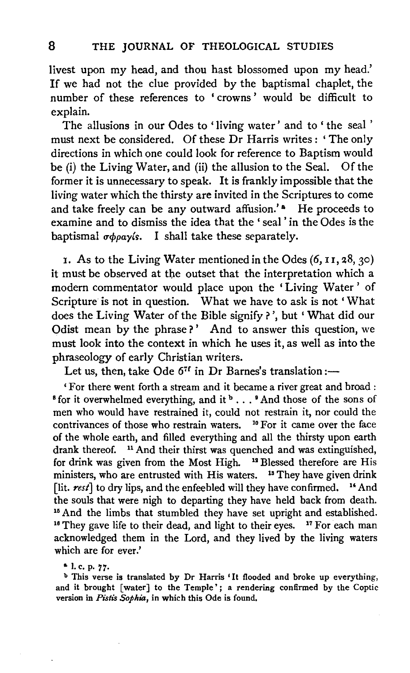livest upon my head, and thou hast blossomed upon my head.' If we had not the clue provided by the baptismal chaplet, the number of these references to 'crowns' would be difficult to explain.

The allusions in our Odes to 'living water' and to 'the seal ' must next be considered. Of these Dr Harris writes: 'The only directions in which one could look for reference to Baptism would be (i) the Living Water, and (ii) the allusion to the Seal. Of the former it is unnecessary to speak. It is frankly impossible that the living water which the thirsty are invited in the Scriptures to come and take freely can be any outward affusion.'<sup>\*</sup> He proceeds to examine and to dismiss the idea that the ' seal ' in the Odes is the baptismal  $\sigma \phi \rho a \gamma$ *is.* I shall take these separately.

1. As to the Living Water mentioned in the Odes (6, I I, 28, 30) it must be observed at the outset that the interpretation which a modern commentator would place upon the 'Living Water' of Scripture is not in question. What we have to ask is not 'What does the Living Water of the Bible signify?', but 'What did our Odist mean by the phrase?' And to answer this question, we must look into the context in which he uses it, as well as into the phraseology of early Christian writers.

Let us, then, take Ode  $6^{7f}$  in Dr Barnes's translation:-

'For there went forth a stream and it became a river great and broad :  $8$  for it overwhelmed everything, and it  $8 \ldots 8$  And those of the sons of men who would have restrained it, could not restrain it, nor could the contrivances of those who restrain waters. <sup>10</sup> For it came over the face of the whole earth, and filled everything and all the thirsty upon earth drank thereof.  $\frac{11}{11}$  And their thirst was quenched and was extinguished, for drink was given from the Most High.  $\frac{13}{11}$  Blessed therefore are His for drink was given from the Most High. ministers, who are entrusted with His waters.  $13$  They have given drink [lit. rest] to dry lips, and the enfeebled will they have confirmed. <sup>14</sup> And the souls that were nigh to departing they have held back from death. <sup>15</sup> And the limbs that stumbled they have set upright and established. <sup>16</sup> They gave life to their dead, and light to their eyes. <sup>17</sup> For each man acknowledged them in the Lord, and they lived by the living waters which are for ever.'

a I.e. P· *77·* 

<sup>b</sup> This verse is translated by Dr Harris 'It flooded and broke up everything, and it brought [water] to the Temple'; a rendering confirmed by the Coptic version in *Pistis Sophia,* in which this Ode is found.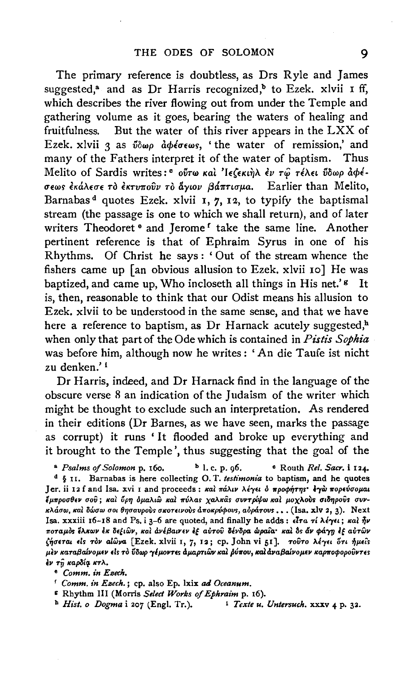The primary reference is doubtless, as Drs Ryle and James suggested,<sup>a</sup> and as Dr Harris recognized,<sup>b</sup> to Ezek. xlvii I ff, which describes the river flowing out from under the Temple and gathering volume as it goes, bearing the waters of healing and fruitfulness. But the water of this river appears in the LXX of But the water of this river appears in the LXX of Ezek. xlvii 3 as  $\tilde{\psi}$ w $\rho$   $d\phi$ *b*  $\phi$ s, 'the water of remission,' and many of the Fathers interpret it of the water of baptism. Thus Melito of Sardis writes:<sup>c</sup> ovtw kal 'IE(EKLTIA EV TW TEAEL voop acpeσεως έκάλεσε τὸ έκτυποῦν τὸ ἄγιον βάπτισμα. Earlier than Melito, Barnabas<sup>d</sup> quotes Ezek. xlvii 1, 7, 12, to typify the baptismal stream (the passage is one to which we shall return), and of later writers Theodoret <sup>o</sup> and Jerome<sup>r</sup> take the same line. Another pertinent reference is that of Ephraim Syrus in one of his Rhythms. Of Christ he says : ' Out of the stream whence the fishers came up [an obvious allusion to Ezek. xlvii 10] He was baptized, and came up. Who incloseth all things in His net.' $\epsilon$  It is, then, reasonable to think that our Odist means his allusion to Ezek. xlvii to be understood in the same sense, and that we have here a reference to baptism, as Dr Harnack acutely suggested,<sup>h</sup> when only that part of the Ode which is contained in *Pistis Sopkia*  was before him, although now he writes : 'An die Taufe ist nicht zu denken.' i

Dr Harris, indeed, and Dr Harnack find in the language of the obscure verse 8 an indication of the Judaism of the writer which might be thought to exclude such an interpretation. As rendered in their editions (Dr Barnes, as we have seen, marks the passage as corrupt) it runs 'It flooded and broke up everything and it brought to the Temple', thus suggesting that the goal of the

<sup>a</sup> Psalms of Solomon p. 160. **b** l. c. p. 96. • Routh *Rel. Sacr.* i 124. d § II. Barnabas is here collecting 0. T. *testimonia* to baptism, and he quotes Jer. ii 12 f and Isa. xvi *I* and proceeds: και πάλιν λέγει ο προφήτης εγώ πορεύσομαι *[p.11po0'9EV UOV; Ita! IJpfJ <lp.aAtW Ita! m/Aas XaAitas UVVTpi!f;OJ Ita!* J-IOXAO~S *O'&Mjpovs O'VV·*   $\kappa \lambda$ άσω, και δώσω σοι θησαυρούς σκοτεινούς αποκρύφους, αδράτους ... (Isa. xlv 2, 3). Next Isa. xxxiii 16-18 and Ps. i 3-6 are quoted, and finally he adds:  $\epsilon l \tau a \tau i \lambda \epsilon \gamma \epsilon i$ ;  $\kappa a l \tau \gamma \nu$ *ποταμός έλκων έκ δεξιών, καί ανέβαινεν έξ αύτου δένδρα ώραια· καί δς άν φάγη έξ αύτων* (~uETa. *<Is Tov alwva* [Ezek. xlvii I, 7, I~; cp. John vi 51]. *Tovro* Al-r•• *ISTt iJp.tis*  μεν καταβαίνομεν είς το ύδωρ γέμοντες αμαρτιῶν και ρύπου, και αναβαίνομεν καρποφορούντες EV *Tfi KapBiq. ltTA.* 

• *Comm. in Esech.* 

r *Comm. in Esech.* ; cp. also Ep. lxix *ad Oceanum.* 

r Rhythm Ill (Morris *Select Works of Ephraim* p. I6).

<sup>b</sup> *Hist. o Dogma* i 207 (Engl. Tr.). *i Texte u. Untersuch.* xxxv 4 p. 32.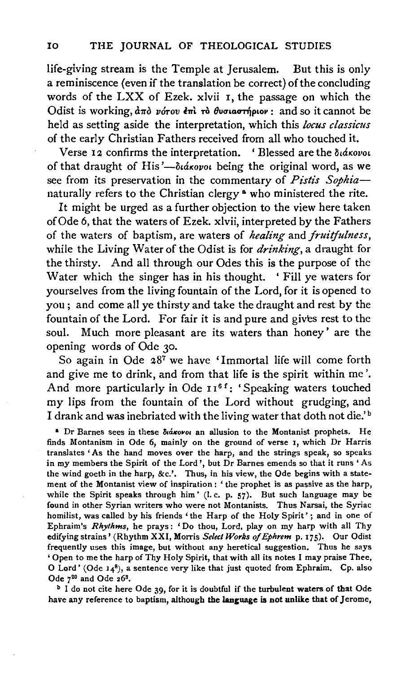life-giving stream is the Temple at Jerusalem. But this is only a reminiscence (even if the translation be correct) of the concluding words of the LXX of Ezek. xlvii I, the passage on which the Odist is working,  $d\pi\delta$  *v*orov  $\epsilon\pi\delta$  **ro**  $\theta$ wora *orhouv*: and so it cannot be held as setting aside the interpretation, which this *locus classicus* of the early Christian Fathers received from all who touched it.

Verse 12 confirms the interpretation. 'Blessed are the διάκονοι of that draught of His'-didxovoi being the original word, as we see from its preservation in the commentary of *Pistis Sophia*naturally refers to the Christian clergy<sup>a</sup> who ministered the rite.

It might be urged as a further objection to the view here taken of Ode 6, that the waters of Ezek. xlvii, interpreted by the Fathers of the waters of baptism, are waters of *healing* and *fruitfulness,*  while the Living Water of the Odist is for *drinking,* a draught for the thirsty. And all through our Odes this is the purpose of the Water which the singer has in his thought. ' Fill ye waters for yourselves from the living fountain of the Lord, for it is opened to you ; and come all ye thirsty and take the draught and rest by the fountain of the Lord. For fair it is and pure and gives rest to the soul. Much more pleasant are its waters than honey' are the opening words of Ode 30.

So again in Ode 287 we have 'Immortal life will come forth and give me to drink, and from that life is the spirit within me'. And more particularly in Ode  $I1^{6}$ : 'Speaking waters touched my lips from the fountain of the Lord without grudging, and I drank and was inebriated with the living water that doth not die.' b

<sup>a</sup> Dr Barnes sees in these  $\delta$ *iákovoi* an allusion to the Montanist prophets. He finds Montanism in Ode 6, mainly on the ground of verse 1, which Dr Harris translates 'As the hand moves over the harp, and the strings speak, so speaks in my members the Spirit of the Lord', but Dr Barnes emends so that it runs ' As the wind goeth in the harp, &c.'. Thus, in his view, the Ode begins with a statement of the Montanist view of inspiration : ' the prophet is as passive as the harp, while the Spirit speaks through him' (I.c. p. 57). But such language may be found in other Syrian writers who were not Montanists. Thus Narsai, the Syriac homilist, was called by his friends 'the Harp of the Holy Spirit'; and in one of Ephraim's *Rhythms*, he prays: 'Do thou, Lord, play on my harp with all Thy edifying strains' (Rhythm XXI, Morris *Select Works of Ephrem* p. 175). Our Odist frequently uses this image, but without any heretical suggestion. Thus he says ' Open to me the harp of Thy Holy Spirit, that with all its notes I may praise Thee, O Lord' (Ode  $14^8$ ), a sentence very like that just quoted from Ephraim. Cp. also Ode  $7^{20}$  and Ode  $26^3$ .

<sup>b</sup> I do not cite here Ode 39, for it is doubtful if the turbulent waters of that Ode have any reference to baptism, although the language is not unlike that of Jerome,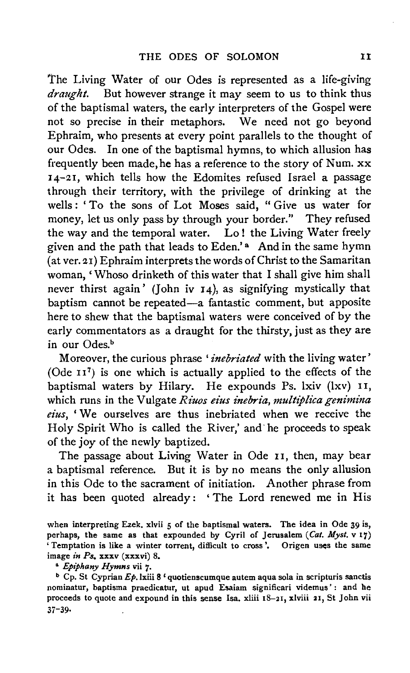'The Living Water of our Odes is represented as a life-giving *draught.* But however strange it may seem to us to think thus of the baptismal waters, the early interpreters of the Gospel were not so precise in their metaphors. We need not go beyond Ephraim, who presents at every point parallels to the thought of our Odes. In one of the baptismal hymns, to which allusion has frequently been made, he has a reference to the story of Num. xx 14-21, which tells how the Edomites refused Israel a passage through their territory, with the privilege of drinking at the wells: 'To the sons of Lot Moses said, "Give us water for money, let us only pass by through your border." They refused the way and the temporal water. Lo! the Living Water freely given and the path that leads to Eden.'<sup>a</sup> And in the same hymn (at ver. 21) Ephraim interprets the words of Christ to the Samaritan woman, ' Whoso drinketh of this water that I shall give him shall never thirst again' (John iv 14), as signifying mystically that baptism cannot be repeated-a fantastic comment, but apposite here to shew that the baptismal waters were conceived of by the early commentators as a draught for the thirsty, just as they are in our Odes.<sup>b</sup>

Moreover, the curious phrase *'inebriated* with the living water' (Ode  $II^7$ ) is one which is actually applied to the effects of the baptismal waters by Hilary. He expounds Ps. lxiv (lxv) 11, which runs in the Vulgate *Riuos eius inebria*, *multiplica genimina eius,* ' We ourselves are thus inebriated when we receive the Holy Spirit Who is called the River,' and· he proceeds to speak of the joy of the newly baptized.

The passage about Living Water in Ode 11, then, may bear a baptismal reference. But it is by no means the only allusion in this Ode to the sacrament of initiation. Another phrase from it has been quoted already: 'The Lord renewed me in His

when interpreting Ezek. xlvii 5 of the baptismal waters. The idea in Ode 39 is, perhaps, the same as that expounded by Cyril of Jerusalem *(Cat. Myst.* v 17) 'Temptation is like a winter torrent, difficult to cross'. Origen uses the same image *in Ps.* xxxv (xxxvi) 8.

• *Epiphany Hymns* vii 7·

<sup>b</sup> Cp. St Cyprian  $Ep$ . Ixiii 8 ' quotienscumque autem aqua sola in scripturis sanctis nominatur, baptisma praedicatur, ut apud Esaiam significari videmus' : and he proceeds to quote and expound in this sense Isa. xliii  $18-21$ , xlviii 21, St John vii 37-39·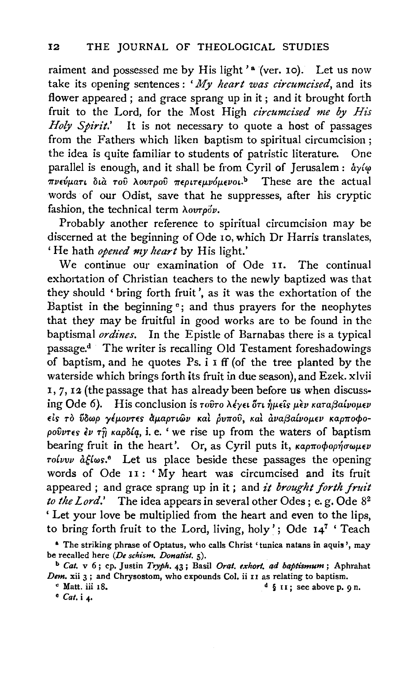raiment and possessed me by His light'<sup>a</sup> (ver. 10). Let us now take its opening sentences: *'My heart was circumcised,* and its flower appeared ; and grace sprang up in it ; and it brought forth fruit to the Lord, for the Most High *circumcised me by His Holy Spirit.'* It is not necessary to quote a host of passages from the Fathers which liken baptism to spiritual circumcision ; the idea is quite familiar to students of patristic literature. One parallel is enough, and it shall be from Cyril of Jerusalem:  $\dot{a}$ y $(\varphi)$ πνεύματι δια του λουτρού περιτεμνόμενοι.<sup>b</sup> These are the actual words of our Odist, save that he suppresses, after his cryptic fashion, the technical term  $\lambda$ ovrpov.

Probably another reference to spiritual circumcision may be discerned at the beginning of Ode 10, which Dr Harris translates, 'He hath *opened my heart* by His light.'

We continue our examination of Ode 11. The continual exhortation of Christian teachers to the newly baptized was that they should ' bring forth fruit', as it was the exhortation of the Baptist in the beginning  $c$ ; and thus prayers for the neophytes that they may be fruitful in good works are to be found in the baptismal *ordines.* In the Epistle of Barnabas there is a typical passage.<sup>d</sup> The writer is recalling Old Testament foreshadowings of baptism, and he quotes Ps. i I ff (of the tree planted by the waterside which brings forth its fruit in due season), and Ezek. xlvii I, 7,12 (the passage that has already been before us when discussing Ode 6). His conclusion is  $\tau$ ούτο λέγει ότι ήμεις μεν καταβαίνομεν  $\epsilon$ is το ύδωρ γέμοντες άμαρτιών και ρυπού, και αναβαίνομεν καρποφοpov $\hat{v}$ res  $\hat{t}$   $\hat{v}$   $\hat{\eta}$   $\hat{\theta}$   $\hat{\theta}$   $\hat{\theta}$   $\hat{\theta}$ , i. e. ' we rise up from the waters of baptism bearing fruit in the heart'. Or, as Cyril puts it,  $\kappa a \rho \pi o \phi o \rho \eta' \sigma \omega \mu \epsilon \nu$  $\tau$ oívvv  $\partial_t \xi \omega$ s.<sup>e</sup> Let us place beside these passages the opening words of Ode II : ' My heart was circumcised and its fruit appeared; and grace sprang up in it; and *it brought forth fruit to the Lord.*' The idea appears in several other Odes; e.g. Ode 8<sup>2</sup> 'Let your love be multiplied from the heart and even to the lips, to bring forth fruit to the Lord, living, holy'; Ode 147 ' Teach

• *Cat.* i 4·

<sup>&</sup>amp; The striking phrase of Optatus, who calls Christ 'tunica natans in aquis ', may be recalled here *(De schism. Donahst.* 5).

<sup>b</sup>*Cat.* v 6; cp. Justin *Tryph.* 43; Basil *Drat. exhort, ad baptismum;* Aphrahat *Dem.* xii 3 ; and Chrysostom, who expounds Col. ii II as relating to baptism.

 $\alpha$  Matt. iii 18. d § 11; see above p. 9 n.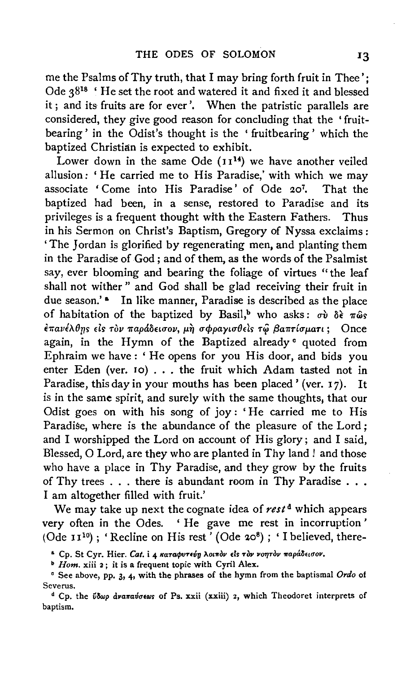me the Psalms of Thy truth, that I may bring forth fruit in Thee'; Ode 3818 ' He set the root and watered it and fixed it and blessed it; and its fruits are for ever'. When the patristic parallels are considered, they give good reason for concluding that the 'fruitbearing ' in the Odist's thought is the ' fruitbearing ' which the baptized Christian is expected to exhibit.

Lower down in the same Ode  $(11<sup>14</sup>)$  we have another veiled allusion: ' He carried me to His Paradise,' with which we may associate ' Come into His Paradise' of Ode 207 • That the baptized had been, in a sense, restored to Paradise and its privileges is a frequent thought with the Eastern Fathers. Thus in his Sermon on Christ's Baptism, Gregory of N yssa exclaims : 'The Jordan is glorified by regenerating men, and planting them in the Paradise of God ; and of them, as the words of the Psalmist say, ever blooming and bearing the foliage of virtues "the leaf shall not wither" and God shall be glad receiving their fruit in due season.'<sup>8</sup> In like manner, Paradise is described as the place of habitation of the baptized by Basil,<sup>b</sup> who asks:  $\sigma \hat{v}$   $\delta \hat{\epsilon}$   $\pi \hat{\omega} s$  $\epsilon \pi a \nu \epsilon \lambda \theta$ ης είς τον παράδεισον, μη σφραγισθείς τω βαπτίσματι; Once again, in the Hymn of the Baptized already <sup>o</sup> quoted from Ephraim we have : ' He opens for you His door, and bids you enter Eden (ver. 10) ... the fruit which Adam tasted not in Paradise, this day in your mouths has been placed' (ver. 17). It is in the same spirit, and surely with the same thoughts, that our Odist goes on with his song of joy: 'He carried me to His Paradise, where is the abundance of the pleasure of the Lord; and I worshipped the Lord on account of His glory; and I said, Blessed, 0 Lord, are they who are planted in Thy land ! and those who have a place in Thy Paradise, and they grow by the fruits of Thy trees . . . there is abundant room in Thy Paradise . . . I am altogether filled with fruit.'

We may take up next the cognate idea of rest<sup>d</sup> which appears very often in the Odes. ' He gave me rest in incorruption ' (Ode  $11^{10}$ ); 'Recline on His rest' (Ode 20<sup>8</sup>); 'I believed, there-

<sup>a</sup> Cp. St Cyr. Hier. Cat. i 4 καταφυτεύη λοιπόν είς τον νοητόν παράδεισον.

**b** Hom. xiii 2; it is a frequent topic with Cyril Alex.

<sup>e</sup> See above, pp. 3, 4, with the phrases of the hymn from the baptismal Ordo of Severus.

<sup>d</sup> Cp. the *USwp avanavotews* of Ps. xxii (xxiii) 2, which Theodoret interprets of baptism.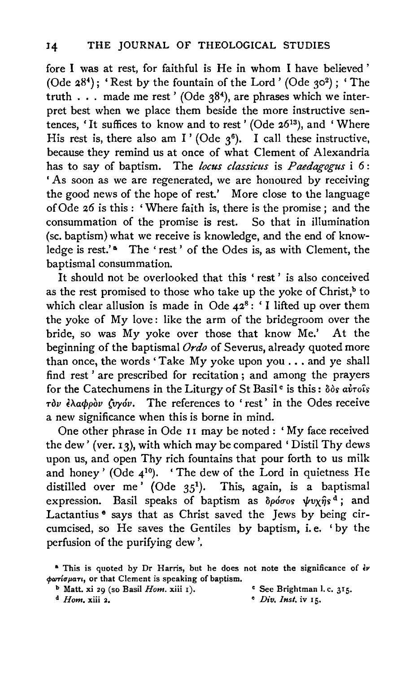fore I was at rest, for faithful is He in whom I have believed ' (Ode  $28<sup>4</sup>$ ); 'Rest by the fountain of the Lord' (Ode  $30<sup>2</sup>$ ); 'The truth . . . made me rest' (Ode  $38<sup>4</sup>$ ), are phrases which we interpret best when we place them beside the more instructive sentences, 'It suffices to know and to rest' (Ode 2613), and 'Where His rest is, there also am I' (Ode  $3^6$ ). I call these instructive, because they remind us at once of what Clement of Alexandria has to say of baptism. The *locus classicus* is *Paedagogus* i 6: ' As soon as we are regenerated, we are honoured by receiving the good news of the hope of rest.' More close to the language of Ode 26 is this : 'Where faith is, there is the promise ; and the consummation of the promise is rest. So that in illumination (se. baptism) what we receive is knowledge, and the end of knowledge is rest.'<sup>a</sup> The 'rest' of the Odes is, as with Clement, the baptismal consummation.

It should not be overlooked that this 'rest' is also conceived as the rest promised to those who take up the yoke of Christ, $<sup>b</sup>$  to</sup> which clear allusion is made in Ode  $42^8$ : 'I lifted up over them the yoke of My love: like the arm of the bridegroom over the bride, so was My yoke over those that know Me.' At the beginning of the baptismal *Ordo* of Severus, already quoted more than once, the words 'Take My yoke upon you ... and ye shall find rest ' are prescribed for recitation ; and among the prayers for the Catechumens in the Liturgy of St Basil<sup>c</sup> is this:  $\delta \delta s$  avTois n}v *EA.acf>pov (vyov.* The references to 'rest' in the Odes receive a new significance when this is borne in mind.

One other phrase in Ode 11 may be noted: 'My face received the dew' (ver. 13), with which may be compared 'Distil Thy dews upon us, and open Thy rich fountains that pour forth to us milk and honey' (Ode  $4^{10}$ ). 'The dew of the Lord in quietness He distilled over me' (Ode  $35^1$ ). This, again, is a baptismal expression. Basil speaks of baptism as  $\delta \rho \acute{\sigma} \sigma$  or  $\psi v \chi \hat{\eta} s^d$ ; and Lactantius <sup>•</sup> says that as Christ saved the Jews by being circumcised, so He saves the Gentiles by baptism, i.e. 'by the perfusion of the purifying dew',

**b** Matt. xi 29 (so Basil *Hom.* xiii 1). • See Brightman I. c. 315.<br><sup>d</sup> *Hom.* xiii 2. • *Div. Inst.* iv 15.

<sup>*e</sup> Div. Inst.* iv 15.</sup>

<sup>&</sup>lt;sup>a</sup> This is quoted by Dr Harris, but he does not note the significance of  $\dot{\epsilon}v$  $\phi$ *oriouari*, or that Clement is speaking of baptism.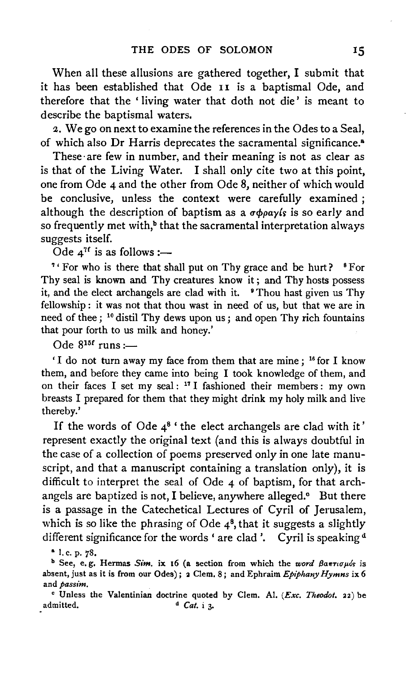When all these allusions are gathered together, I submit that it has been established that Ode 11 is a baptismal Ode, and therefore that the ' living water that doth not die' is meant to describe the baptismal waters.

2. We go on next to examine the references in the Odes to a Seal, of which also Dr Harris deprecates the sacramental significance.<sup>a</sup>

These·are few in number, and their meaning is not as clear as is that of the Living Water. I shall only cite two at this point, one from Ode 4 and the other from Ode 8, neither of which would be conclusive, unless the context were carefully examined ; although the description of baptism as a  $\sigma \phi \rho a \gamma$  is so early and so frequently met with,<sup>b</sup> that the sacramental interpretation always suggests itself.

Ode  $4^{7f}$  is as follows :-

<sup>7</sup>' For who is there that shall put on Thy grace and be hurt? <sup>8</sup> For Thy seal is known and Thy creatures know it ; and Thy hosts possess it, and the elect archangels are clad with it. **Thou hast given us Thy** fellowship : it was not that thou wast in need of us, but that we are in need of thee; <sup>10</sup> distil Thy dews upon us; and open Thy rich fountains that pour forth to us milk and honey.'

Ode  $8^{15f}$  runs :-

'I do not turn away my face from them that are mine; <sup>16</sup> for I know them, and before they came into being I took knowledge of them, and on their faces I set my seal: <sup>17</sup> I fashioned their members: my own breasts I prepared for them that they might drink my holy milk and live thereby.'

If the words of Ode  $4^8$  'the elect archangels are clad with it' represent exactly the original text (and this is always doubtful in the case of a collection of poems preserved only in one late manuscript, and that a manuscript containing a translation only), it is difficult to interpret the seal of Ode 4 of baptism, for that archangels are baptized is not, I believe, anywhere alleged.<sup>o</sup> But there is a passage in the Catechetical Lectures of Cyril of Jerusalem, which is so like the phrasing of Ode  $4^8$ , that it suggests a slightly different significance for the words 'are clad'. Cyril is speaking<sup>d</sup>

• I. c. p. 78.

<sup>b</sup> See, e.g. Hermas *Sim*. ix 16 (a section from which the *word βαπτισμόs* is absent, just as it is from our Odes); 2 Clem. 8; and Ephraim *Epiphany Hymns* ix 6 and *passim.* 

• Unless the Valentinian doctrine quoted by Clem. Al. *(Exc. Theodot.* 22) be admitted.  $\qquad \qquad \text{a. }$  *Cat.* **i** 3.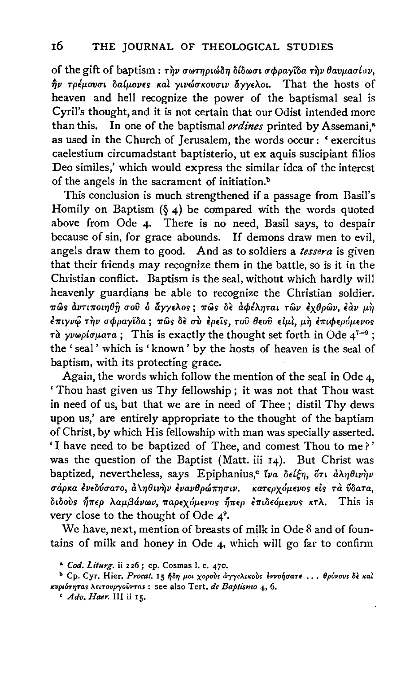of the gift of baptism :  $\tau \dot{\eta} \nu \sigma \omega \tau \eta \rho \iota \omega \delta \eta \delta \iota \omega \sigma \phi \rho \alpha \gamma \iota \delta \alpha \tau \dot{\eta} \nu \theta \alpha \nu \mu \alpha \sigma \iota \alpha \nu$ ,  $n\dot{p}$  τρέμουσι δαίμονες και γινώσκουσιν άγγελοι. That the hosts of heaven and hell recognize the power of the baptismal seal is Cyril's thought, and it is not certain that our Odist intended more than this. In one of the baptismal *ordines* printed by Assemani.<sup>8</sup> In one of the baptismal *ordines* printed by Assemani,<sup>8</sup> as used in the Church of Jerusalem, the words occur: ' exercitus caelestium circumadstant baptisterio, ut ex aquis suscipiant filios Deo similes,' which would express the similar idea of the interest of the angels in the sacrament of initiation.<sup>b</sup>

This conclusion is much strengthened if a passage from Basil's Homily on Baptism  $(\xi_4)$  be compared with the words quoted above from Ode 4· There is no need, Basil says, to despair because of sin, for grace abounds. If demons draw men to evil, angels draw them to good. And as to soldiers a *tessera* is given that their friends may recognize them in the battle, so is it in the Christian conflict. Baptism is the seal, without which hardly will heavenly guardians be able to recognize the Christian soldier. πώς αντιποιηθή σού ο άγγελος; πώς δε αφέληται των εχθρών, έαν μη  $\epsilon \pi$ ιγνώ την σφραγίδα; πώς δε σύ έρείς, του θεού είμι, μη έπιφερόμενος  $\vec{r}$   $\alpha$   $\gamma \nu \omega \rho i \sigma \mu$  $\alpha \tau a$ ; This is exactly the thought set forth in Ode  $4^{7-9}$ ; the 'seal' which is 'known ' by the hosts of heaven is the seal of baptism, with its protecting grace.

Again, the words which follow the mention of the seal in Ode 4, ' Thou hast given us Thy fellowship ; it was not that Thou wast in need of us, but that we are in need of Thee ; distil Thy dews upon us,' are entirely appropriate to the thought of the baptism of Christ, by which His fellowship with man was specially asserted. 'I have need to be baptized of Thee, and comest Thou to me? ' was the question of the Baptist (Matt. iii 14). But Christ was baptized, nevertheless, says Epiphanius,<sup>c</sup> tva dei $\xi\eta$ , őri a $\lambda\eta\theta\iota\nu\grave{\eta}\nu$ σάρκα ένεδύσατο, α \ηθινήν ενανθρώπησιν. κατερχόμενος είς τα ΰδατα, διδούς ήπερ λαμβάνων, παρεχόμενος ήπερ επιδεόμενος κτλ. This is very close to the thought of Ode  $4^9$ .

We have, next, mention of breasts of milk in Ode 8 and of fountains of milk and honey in Ode 4, which will go far to confirm

<sup>•</sup> *Cod. Liturg.* ii 226; cp. Cosmas I. c. 470.

<sup>&</sup>lt;sup>b</sup> Cp. Cyr. Hier. *Procat.* 15 ήδη μοι χορούς άγγελικούς έννοήσατε ... θρόνους δε καί ~evp&OT7JTas A<&Tollp")'oliVTas: see also Tert. *de Baptismo* 4, 6.

c *Adv. Haer.* Ill ii 15.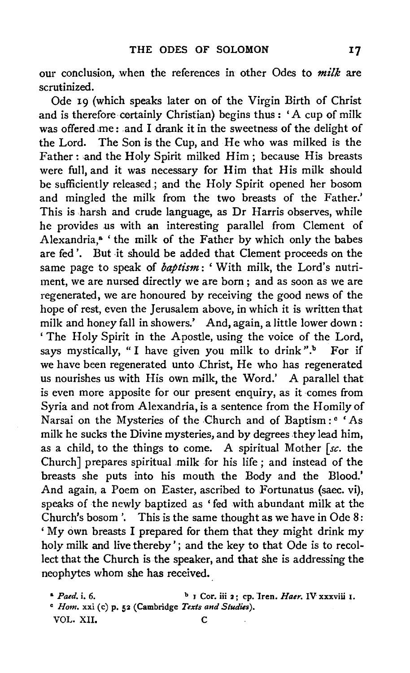our conclusion, when the references in other Odes to *milk* are scrutinized.

Ode 19 (which speaks later on of the Virgin Birth of Christ and is therefore certainly Christian) begins thus : 'A cup of milk was offered .me : and I drank it in the sweetness of the delight of the Lord. The Son is the Cup, and He who was milked is the Father: and the Holy Spirit milked Him; because His breasts were full, and it was necessary for Him that His milk should be sufficiently released.; and the Holy Spirit opened her bosom and mingled the milk from the two breasts of the Father.' This is harsh and crude language, as Dr Harris observes, while he provides us with an interesting parallel from Clement of Alexandria,<sup>a</sup> 'the milk of the Father by which only the babes are fed'. But it should be added that Clement proceeds on the same page to speak of *baptism:* 'With milk, the Lord's nutriment, we are nursed directly we are born ; and as soon as we are regenerated, we are honoured by receiving the good news of the hope of rest, even the Jerusalem above, in which it is written that milk and honey fall in showers.' And, again, a little lower down : ' The Holy Spirit in the Apostle, using the voice of the Lord, says mystically, "I have given you milk to drink". $\frac{b}{b}$  For if we have been regenerated unto Christ, He who has regenerated us nourishes us with His own milk, the Word.' A parallel that is even more apposite for our present enquiry, as it comes from Syria and not from Alexandria, is a sentence from the Homily of Narsai on the Mysteries of the Church and of Baptism: <sup>e</sup> 'As milk he sucks the Divine mysteries, and by degrees they lead him, as a child, to the things to come. A spiritual Mother *[se.* the Church] prepares spiritual milk for his life; and instead of the breasts she puts into his mouth the Body and the Blood.' And again, a Poem on Easter, ascribed to Fortunatus (saec. vi), speaks of the newly baptized as 'fed with abundant milk at the Church's bosom '. This is the same thought as we have in Ode 8: 'My own breasts I prepared for them that they might drink my holy milk and live thereby'; and the key to that Ode is to recollect that the Church is the speaker, and that she is addressing the neophytes whom she has received.

<sup>&</sup>lt;sup>a</sup> *Paed.* i. 6. b J Cor. iii 2; cp. Iren. *Haer.* IV xxxviii 1. c *Hom.* xxi (c) p. 52 (Cambridge *Texts and Studies).*  VOL. XII. C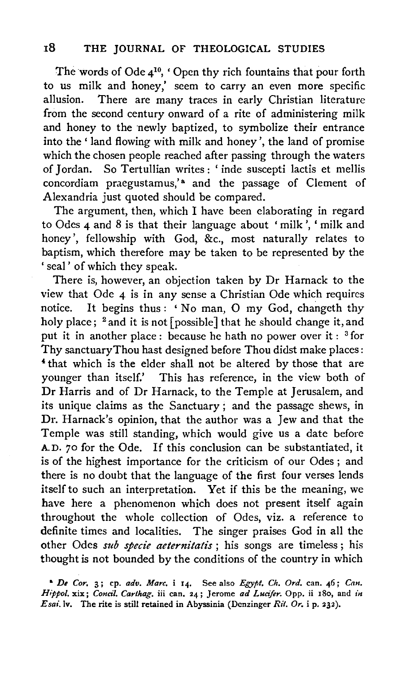The words of Ode 410, 'Open thy rich fountains that pour forth to us milk and honey,' seem to carry an even more specific allusion. There are many traces in early Christian literature from the second century onward of a rite of administering milk and honey to the newly baptized, to symbolize their entrance into the ' land flowing with milk and honey ', the land of promise which the chosen people reached after passing through the waters of Jordan. So Tertullian writes: 'inde suscepti lactis et mellis concordiam praegustamus,'<sup>a</sup> and the passage of Clement of Alexandria just quoted should be compared.

The argument, then, which I have been elaborating in regard to Odes 4 and 8 is that their language about ' milk ', ' milk and honey', fellowship with God, &c., most naturally relates to baptism, which therefore may be taken to be represented by the ' seal' of which they speak.

There is, however, an objection taken by Dr Harnack to the view that Ode 4 is in any sense a Christian Ode which requires notice. It begins thus : ' No man, 0 my God, changeth thy holy place;  $^2$  and it is not [possible] that he should change it, and put it in another place : because he hath no power over it : <sup>3</sup> for Thy sanctuaryThou hast designed before Thou didst make places: ' that which is the elder shall not be altered by those that are younger than itself.' This has reference, in the view both of Dr Harris and of Dr Harnack, to the Temple at Jerusalem, and its unique claims as the Sanctuary ; and the passage shews, in Dr. Harnack's opinion, that the author was a Jew and that the Temple was still standing, which would give us a date before A.D. 70 for the Ode. If this conclusion can be substantiated, it is of the highest importance for the criticism of our Odes ; and there is no doubt that the language of the first four verses lends itself to such an interpretation. Yet if this be the meaning, we have here a phenomenon which does not present itself again throughout the whole collection of Odes, viz. a reference to definite times and localities. The singer praises God in all the other Odes *sub specie aeternitatis* ; his songs are timeless ; his thought is not bounded by the conditions of the country in which

<sup>•</sup> *De Cor.* 3; cp. *adv. Marc.* i 14. See also *Egypt. Ch. Ord.* can. *46; Can.*  Hippol. xix; Concil. Carthag. iii can. 24; Jerome ad Lucifer. Opp. ii 180, and in *Esai.lv.* The rite is still retained in Abyssinia (Dcnzinger *Ril. Or.* i p. 232).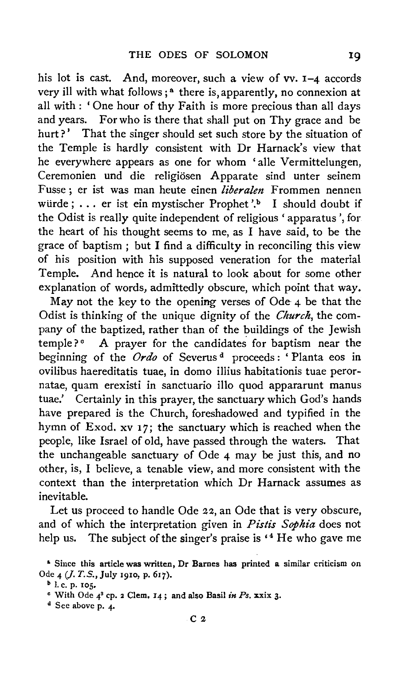his lot is cast. And, moreover, such a view of vv. 1-4 accords very ill with what follows;<sup> $a$ </sup> there is, apparently, no connexion at all with : 'One hour of thy Faith is more precious than all days and years. For who is there that shall put on Thy grace and be hurt?' That the singer should set such store by the situation of the Temple is hardly consistent with Dr Harnack's view that he everywhere appears as one for whom 'alle Vermittelungen, Ceremonien und die religiösen Apparate sind unter seinem Fusse; er ist was man heute einen *liberalen* Frommen nennen würde; ... er ist ein mystischer Prophet'.<sup>b</sup> I should doubt if the Odist is really quite independent of religious 'apparatus', for the heart of his thought seems to me, as I have said, to be the grace of baptism ; but I find a difficulty in reconciling this view of his position with his supposed veneration for the material Temple. And hence it is natural to look about for some other explanation of words, admittedly obscure, which point that way.

May not the key to the opening verses of Ode 4 be that the Odist is thinking of the unique dignity of the *Church,* the company of the baptized, rather than of the buildings of the Jewish temple? $\degree$  A prayer for the candidates for baptism near the beginning of the *Ordo* of Severus<sup>d</sup> proceeds: 'Planta eos in ovilibus haereditatis tuae, in domo iliius habitationis tuae perornatae, quam erexisti in sanctuario illo quod appararunt manus tuae.' Certainly in this prayer, the sanctuary which God's hands have prepared is the Church, foreshadowed and typified in the hymn of Exod. xv 17; the sanctuary which is reached when the people, like Israel of old, have passed through the waters. That the unchangeable sanctuary of Ode 4 may be just this, and no other, is, I believe, a tenable view, and more consistent with the context than the interpretation which Dr Harnack assumes as inevitable.

Let us proceed to handle Ode 22, an Ode that is very obscure, and of which the interpretation given in *Pistis Sophia* does not help us. The subject of the singer's praise is <sup>4</sup> He who gave me

 $C<sub>2</sub>$ 

 $d$  See above p. 4.

<sup>•</sup> Since this article was written, Dr Barnes has printed a similar criticism on Ode 4 *(J. T. S.*, July 1910, p. 617).

 $b$  l. c. p. 105.

c With Ode 43 cp. 2 Clem. 14 ; and also Basil *in Ps.* xxix 3·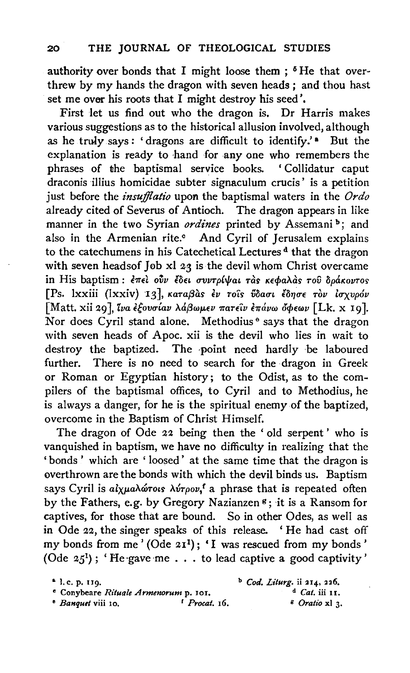authority over bonds that I might loose them;  $5$  He that overthrew by my hands the dragon with seven heads ; and thou hast set me over his roots that I might destroy his seed'.

First let us find out who the dragon is. Dr Harris makes various suggestions as to the historical allusion involved, although as he truly says: 'dragons are difficult to identify.' • But the explanation is ready to hand for any one who remembers the phrases of the baptismal service books. ' Collidatur caput draconis illius homicidae subter signaculum crucis' is a petition just before the *insujflatio* upon the baptismal waters in the *Ordo*  already cited of Severus of Antioch. The dragon appears in like manner in the two Syrian *ordines* printed by Assemani<sup>b</sup>; and also in the Armenian rite.<sup>c</sup> And Cyril of Jerusalem explains to the catechumens in his Catechetical Lectures<sup>d</sup> that the dragon with seven headsof Job xl 23 is the devil whom Christ overcame in His baptism : επεί ούν έδει συντρίψαι τ**άς κεφαλάς του δράκοντο**ς [Ps. lxxiii (lxxiv) 13], Karaßàs εν rois ύδασι έδησε τον ισχυρόν [Matt. xii 29], *lva εξουσίαν λάβωμεν πατείν επάνω όφεων* [Lk. x 19]. Nor does Cyril stand alone. Methodius<sup>®</sup> says that the dragon with seven heads of Apoc. xii is the devil who lies in wait to destroy the baptized. The point need hardly be laboured further. There is no need to search for the dragon in Greek or Roman or Egyptian history; to the Odist, as to the compilers of the baptismal offices, to Cyril and to Methodius, he is always a danger, for he is the spiritual enemy of the baptized, overcome in the Baptism of Christ Himself.

The dragon of Ode 22 being then the ' old serpent ' who is vanquished in baptism, we have no difficulty in realizing that the 'bonds' which are 'loosed' at the same time that the dragon is overthrown are the bonds with which the devil binds us. Baptism says Cyril is  $a\ell x \mu a\lambda \omega \tau o \nu s$ , a phrase that is repeated often by the Fathers, e.g. by Gregory Nazianzen  $\mathfrak{s}$ ; it is a Ransom for captives, for those that are bound. So in other Odes, as well as in Ode 22, the singer speaks of this release. 'He had cast off my bonds from me' (Ode  $2I^1$ ); 'I was rescued from my bonds' my bonds from me (Ode 21'); '1 was rescued from my bonds<br>(Ode 25'); 'He gave me . . . to lead captive a good captivity'

<sup>•</sup> I. c. p. IJ9· • Conybeare *Rituale Armenorum* p. IOI.

<sup>&</sup>lt;sup>*e*</sup> *Banquet* viii 10. <sup>*f*</sup> *Procat.* 16.

<sup>b</sup>*Cod. Liturg.* ii 214, 226 • d *Cat.* iii 11. g *Oratio* xi 3·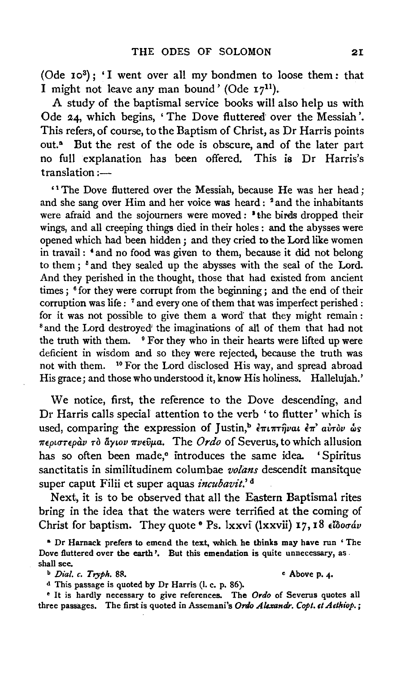(Ode 103); 'I went over all my bondmen to loose them: that I might not leave any man bound' (Ode  $17^{11}$ ).

A study of the baptismal service books will also help us with Ode 24, which begins, 'The Dove fluttered over the Messiah'. This refers, of course, to the Baptism of Christ, as Dr Harris points out.<sup>a</sup> But the rest of the ode is obscure, and of the later part no full explanation has been offered. This is Dr Harris's  $translation :=$ 

' 1 The Dove fluttered over the Messiah, because He was her head; and she sang over Him and her voice was heard : <sup>2</sup> and the inhabitants were afraid and the sojourners were moved : <sup>\*</sup> the birds dropped their wings, and all creeping things died in their holes : and the abysses were opened which had been hidden ; and they cried to the Lord like women in travail: 'and no food was given to them, because it did not belong to them; <sup>5</sup> and they sealed up the abysses with the seal of the Lord. And they perished in the thought, those that had existed from ancient times; <sup>6</sup> for they were corrupt from the beginning; and the end of their corruption was life : <sup>7</sup> and every one of them that was imperfect perished : for it was not possible to give them a word that they might remain : 8 and the Lord destroyed' the imaginations of all of them that had not the truth with them. <sup>9</sup> For they who in their hearts were lifted up were deficient in wisdom and so they were rejected; because the truth was not with them. <sup>10</sup> For the Lord disclosed His way, and spread abroad His grace; and those who understood it, know His holiness. Hallelujah.'

We notice, first, the reference to the Dove descending, and Dr Harris calls special attention to the verb 'to flutter' which is used, comparing the expression of Justin,<sup>b</sup> *επιπτήναι επ' αυτον ώς rrepurnpav ro llytov rrvevp.a.* The *Ordo* of Severus, to which allusion has so often been made,<sup>o</sup> introduces the same idea. 'Spiritus sanctitatis in similitudinem columbae *volans* descendit mansitque super caput Filii et super aquas *incubavit.'* <sup>d</sup>

Next, it is to be observed that all the Eastern Baptismal rites bring in the idea that the waters were terrified at the coming of Christ for baptism. They quote <sup>o</sup> Ps. lxxvi (lxxvii) 17, 18 *eldoodv* 

• Dr Harnack prefers to emend the text, which. he thinks may have run ' The Dove fluttered over the earth'. But this emendation is quite unnecessary, as. shall see.

 $\alpha$ *b Dial. c. Tryph.* 88.  $\alpha$  **Above p. 4.** 

<sup>d</sup> This passage is quoted by Dr Harris (l. c. p. 86).

<sup>e</sup> It is hardly necessary to give references. The *Ordo* of Severus quotes all three passages. The first is quoted in Assemani's Ordo Alexandr. Copt. et Aethiop.;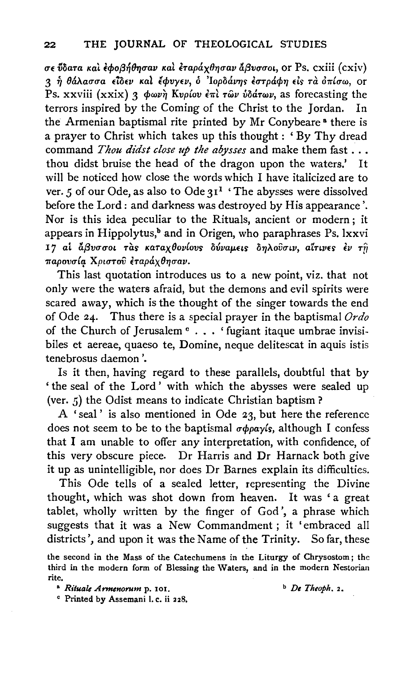ITf iloant Kal icpof3~0T,uav *Kal imp&.x011uav l1f3vuuoL,* or Ps. cxiii *(* cxiv) <sup>3</sup>~ *8&.A.auua eioev Kal* ~cpvyev, o *'Iopo&.v'l]s tuTp&.cp'IJ* els nt *chrluw,* or Ps. xxviii (xxix) 3 φωνή Κυρίου επι των ύδάτων, as forecasting the terrors inspired by the Coming of the Christ to the Iordan. In terrors inspired by the Coming of the Christ to the Jordan. the Armenian baptismal rite printed by Mr Conybeare<sup>8</sup> there is a prayer to Christ which takes up this thought : ' By Thy dread command *Thou didst close up the abysses* and make them fast ... thou didst bruise the head of the dragon upon the waters.' It will be noticed how close the words which I have italicized are to ver. 5 of our Ode, as also to Ode 3<sup>1</sup> 'The abysses were dissolved before the Lord: and darkness was destroyed by His appearance'. Nor is this idea peculiar to the Rituals, ancient or modern ; it appears in Hippolytus,<sup>b</sup> and in Origen, who paraphrases Ps. lxxvi I7 ai άβυσσοι τας καταχθονίους δύναμεις δηλούσιν, αίτινες έν τη  $\pi$ αρουσία Χριστού έταράχθησαν.

This last quotation introduces us to a new point, viz. that not only were the waters afraid, but the demons and evil spirits were scared away, which is the thought of the singer towards the end of Ode 24. Thus there is a special prayer in the baptismal *Ordo*  of the Church of Jerusalem  $\circ \cdot \cdot \cdot$  'fugiant itaque umbrae invisibiles et aereae, quaeso te, Domine, neque delitescat in aquis istis tenebrosus daemon'.

Is it then, having regard to these parallels, doubtful that by ' the seal of the Lord ' with which the abysses were sealed up (ver. 5) the Odist means to indicate Christian baptism?

A 'seal' is also mentioned in Ode 23, but here the reference does not seem to be to the baptismal *ucppayls,* although I confess that I am unable to offer any interpretation, with confidence, of this very obscure piece. Dr Harris and Dr Harnack both give it up as unintelligible, nor does Dr Barnes explain its difficulties.

This Ode tells of a sealed letter, representing the Divine thought, which was shot down from heaven. It was 'a great tablet, wholly written by the finger of God', a phrase which suggests that it was a New Commandment ; it 'embraced all districts', and upon it was the Name of the Trinity. So far, these

the second in the Mass of the Catechumens in the Liturgy of Chrysostom; the third in the modern form of Blessing the Waters, and in the modern Nestorian rite.

c Printed by Assemani I. c. ii 228.

<sup>&</sup>lt;sup>**a** *Rituale Armenorum* p. 101. **b** *De Theoph.* 2.</sup>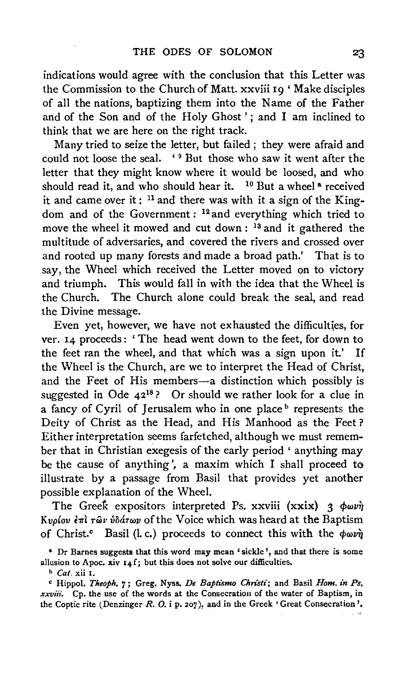indications would agree with the conclusion that this Letter was the Commission to the Church of Matt. xxviii 19 ' Make disciples of all the nations, baptizing them into the Name of the Father and of the Son and of the Holy Ghost'; and I am inclined to think that we are here on the right track.

Many tried to seize the letter, but failed ; they were afraid and could not loose the seal. '<sup>9</sup> But those who saw it went after the letter that they might know where it would be loosed, and who should read it, and who should hear it. <sup>10</sup> But a wheel<sup>®</sup> received it and came over it : 11 and there was with it a sign of the Kingdom and of the Government : 12 and everything which tried to move the wheel it mowed and cut down : 13 and it gathered the multitude of adversaries, and covered the rivers and crossed over and rooted up many forests and made a broad path.' That is to say, the Wheel which received the Letter moved on to victory and triumph. This would fall in with the idea that the Wheel is the Church. The Church alone could break the seal, and read the Divine message.

Even yet, however, we have not exhausted the difficulties, for ver. 14 proceeds : ' The head went down to the feet, for down to the feet ran the wheel, and that which was a sign upon it.' If the Wheel is the Church, are we to interpret the Head of Christ, and the Feet of His members-a distinction which possibly is suggested in Ode  $42^{18}$ ? Or should we rather look for a clue in a fancy of Cyril of Jerusalem who in one place <sup>b</sup> represents the Deity of Christ as the Head, and His Manhood as the Feet ? Either interpretation seems farfetched, although we must remember that in Christian exegesis of the early period ' anything may be the cause of anything', a maxim which I shall proceed to illustrate by a passage from Basil that provides yet another possible explanation of the Wheel.

The Greek expositors interpreted Ps. xxviii (xxix)  $3 \phi \omega v \hat{\eta}$ K*v*ρίου επι τῶν ύδάτων of the Voice which was heard at the Baptism of Christ.<sup>c</sup> Basil (l, c.) proceeds to connect this with the  $\phi \omega v \hat{y}$ 

<sup>•</sup> Dr Barnes suggests that this word may mean ' sickle ', and that there is some allusion to Apoc. xiv  $14 f$ ; but this does not solve our difficulties.

<sup>b</sup>*Cat,* xii I.

<sup>&</sup>lt;sup>c</sup> Hippol. *Theoph.* 7; Greg. Nyss. *De Baptismo Christi*; and Basil *Hom. in Ps. xxviii.* Cp. the use of the words at the Consecration of the water of Baptism, in the Coptic rite (Denzinger *R. 0.* i p. 207), and in the Greek' Great Consecration'·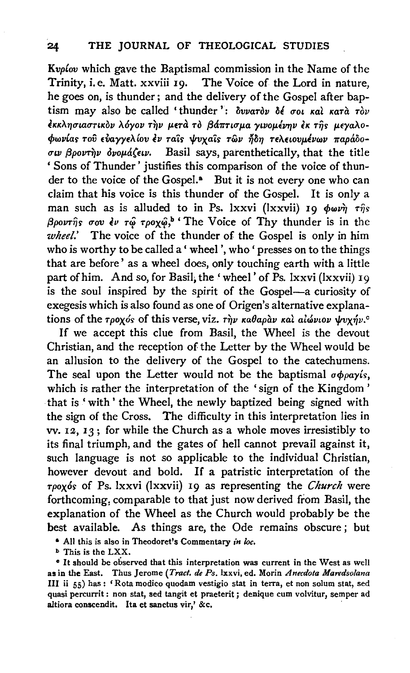*Kvplov* which gave the Baptismal commission in the Name of the Trinity, i.e. Matt. xxviii 19. The Voice of the Lord in nature, he goes on, is thunder; and the delivery of the Gospel after baptism may also be called 'thunder':  $\delta v v a \tau \delta v$   $\delta \epsilon$  *σ*οι και κατα τον εκκλησιαστικόν λόγον την μετά τὸ βάπτισμα γινομένην εκ της μεγαλο*cf>wv(as roil EVa.yyEA.lov tv ra'is lf!vxa'is rwv* ~071 *TEAELOVp.,vwv 7Tapd.ooσιν βροντην δνομάζειν.* Basil says, parenthetically, that the title ' Sons of Thunder' justifies this comparison of the voice of thunder to the voice of the Gospel.<sup>8</sup> But it is not every one who can claim that his voice is this thunder of the Gospel. It is only a man such as is alluded to in Ps. lxxvi (lxxvii) 19  $\phi \omega \nu \hat{\eta}$  r $\hat{\eta}$ s  $\beta \rho \nu \hat{\eta}$ s *σου έν τώ τροχώ*,<sup>b</sup> 'The Voice of Thy thunder is in the *wheel.'* The voice of the thunder of the Gospel is only in him who is worthy to be called a' wheel', who' presses on to the things that are before' as a wheel does, only touching earth with a little part of him. And so, for Basil, the 'wheel' of Ps. lxxvi (lxxvii) 19 is the soul inspired by the spirit of the Gospel-a curiosity of exegesis which is also found as one of Origen's alternative explanations of the *rpoxos* of this verse, viz. rhy *Kaθapav Kal alwvtov vvxnv.*<sup>c</sup>

If we accept this clue from Basil, the Wheel is the devout Christian, and the reception of the Letter by the Wheel would be an allusion to the delivery of the Gospel to the catechumens. The seal upon the Letter would not be the baptismal  $\sigma \phi \rho a \gamma i s$ , which is rather the interpretation of the 'sign of the Kingdom ' that is 'with' the Wheel, the newly baptized being signed with the sign of the Cross. The difficulty in this interpretation lies in vv. 12, 13; for while the Church as a whole moves irresistibly to its final triumph, and the gates of hell cannot prevail against it, such language is not so applicable to the individual Christian, however devout and bold. If a patristic interpretation of the *rpoxos* of Ps. lxxvi (lxxvii) 19 as representing the *Church* were forthcoming, comparable to that just now derived from Basil, the explanation of the Wheel as the Church would probably be the best available. As things are, the Ode remains obscure ; but

a All this is also in Theodoret's Commentary *in loc.* 

b This is the LXX.

• It should be observed that this interpretation was current in the West as well as in the East. Thus Jerome *(Tract. de Ps.* lxxvi, ed. Morin *Anecdota Maredsolana*  Ill ii 55) has : 'Rota modico quodam vestigia stat in terra, et non solum stat, sed quasi percurrit : non stat, sed tangit et praeterit; denique cum volvitur, semper ad altiora conscendit. Ita et sanctus vir,' &c.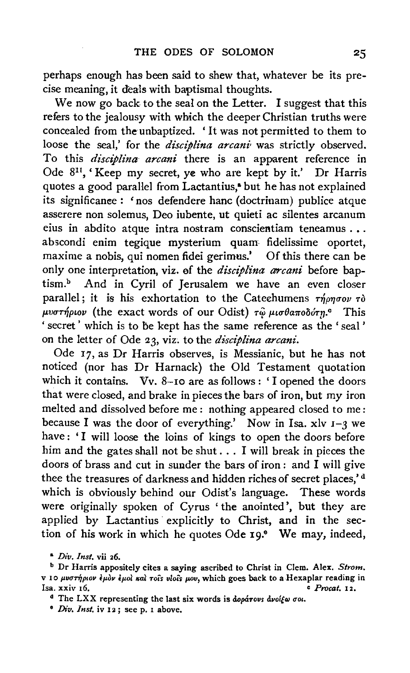perhaps enough has been said to shew that, whatever be its precise meaning, it deals with baptismal thoughts.

We now go back to the seal on the Letter. I suggest that this refers to the jealousy with which the deeper Christian truths were concealed from the unbaptized. ' It was not permitted to them to loose the seal,' for the *disciplina arcani* was strictly observed. To this *disciplina arcani* there is an apparent reference in Ode 811, 'Keep my secret, ye who are kept by it.' Dr Harris quotes a good parallel from Lactantius,<sup>a</sup> but he has not explained its significance: 'nos defendere hanc (doctrinam) publice atque asserere non solemus, Deo iubente, ut quieti ac silentes arcanum eius in abdito atque intra nostram conscientiam teneamus .•. abscondi enim tegique mysterium quam fidelissime oportet, maxime a nobis, qui nomen fidei gerimus.' Of this there can be only one interpretation, viz. of the *disciplina arcani* before baptism.<sup>b</sup> And in Cyril of Jerusalem we have an even closer parallel; it is his exhortation to the Catechumens  $\tau\eta\rho\eta\sigma o\nu\tau\delta$ μυστήριον (the exact words of our Odist) τ<u>ω</u> μισθαποδότη.<sup>c</sup> This ' secret ' which is to be kept has the same reference as the ' seal ' on the letter of Ode 23, viz; to the *disciplina arcani.* 

Ode 17, as Dr Harris observes, is Messianic, but he has not noticed (nor has Dr Harnack) the Old Testament quotation which it contains. Vv. 8-10 are as follows: 'I opened the doors that were closed, and brake in pieces the bars of iron, but my iron melted and dissolved before me: nothing appeared closed to me: because I was the door of everything.' Now in Isa. xlv  $I-3$  we have: 'I will loose the loins of kings to open the doors before him and the gates shall not be shut ... I will break in pieces the doors of brass and cut in sunder the bars of iron : and I will give thee the treasures of darkness and hidden riches of secret places,'<sup>d</sup> which is obviously behind our Odist's language. These words were originally spoken of Cyrus 'the anointed', but they are applied by Lactantius explicitly to Christ, and in the section of his work in which he quotes Ode 19.º We may, indeed,

a *Div. Inst.* vii 26.

b Dr Harris appositely cites a saying ascribed to Christ in Clem. Alex. *Strom.*  v 10  $\mu$ vστήριον έμον έμοι και τοιs viois μου, which goes back to a Hexaplar reading in lsa. xxiv 16. c *Procat.* I 2.

<sup>&</sup>lt;sup>d</sup> The LXX representing the last six words is  $d$ *opárovs dvol{w*  $\sigma$ *oi*.

<sup>•</sup> *Div. Inst.* iv I 2 ; see p. I above.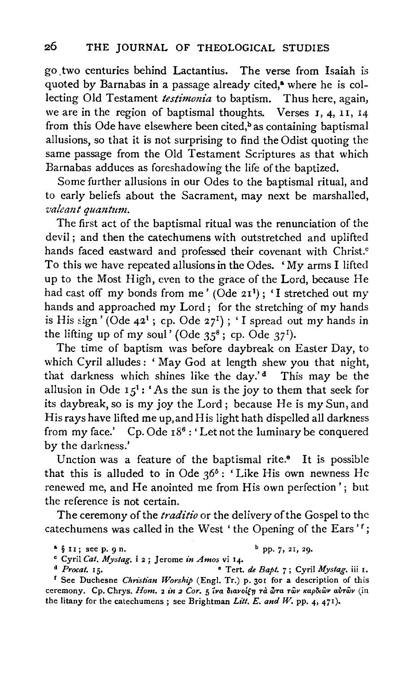go. two centuries behind Lactantius. The verse from Isaiah is quoted by Barnabas in a passage already cited,<sup>a</sup> where he is collecting Old Testament *testimonia* to baptism. Thus here, again, we are in the region of baptismal thoughts. Verses I, 4, II, 14 from this Ode have elsewhere been cited, $\frac{b}{b}$  as containing baptismal allusions, so that it is not surprising to find the Odist quoting the same passage from the Old Testament Scriptures as that which Barnabas adduces as foreshadowing the life of the baptized.

Some further allusions in our Odes to the baptismal ritual, and to early beliefs about the Sacrament, may next be marshalled, *valeant quantum.* 

The first act of the baptismal ritual was the renunciation of the devil ; and then the catechumens with outstretched and uplifted hands faced eastward and professed their covenant with Christ.<sup>c</sup> To this we have repeated allusions in the Odes. 'My arms I lifted up to the Most High, even to the grace of the Lord, because He had cast off my bonds from me' (Ode 21<sup>1</sup>); 'I stretched out my hands and approached my Lord; for the stretching of my hands is His sign' (Ode  $42^1$ ; cp. Ode  $27^1$ ); 'I spread out my hands in the lifting up of my soul' (Ode  $35^8$ ; cp. Ode  $37^1$ ).

The time of baptism was before daybreak on Easter Day, to which Cyril alludes: ' May God at length shew you that night, that darkness which shines like the day.'<sup>d</sup> This may be the allusion in Ode  $15^1$ : 'As the sun is the joy to them that seek for its daybreak, so is my joy the Lord; because He is my Sun, and His rays have lifted me up, and His light hath dispelled all darkness from my face.' Cp. Ode  $18^6$ : 'Let not the luminary be conquered by the darkness.'

Unction was a feature of the baptismal rite.<sup>6</sup> It is possible that this is alluded to in Ode  $36^5$ : 'Like His own newness He renewed me, and He anointed me from His own perfection'; but the reference is not certain.

The ceremony of the *traditio* or the delivery of the Gospel to the catechumens was called in the West 'the Opening of the Ears'<sup>f</sup>;

d *Procat.* 15. • Tert. *de Bapt.* 7; Cyril *Mystag.* iii r. <sup>1</sup> See Duchesne *Christian Worship* (Engl. Tr.) p. 301 for a description of this ceremony. Cp. Chrys. Hom. 2 in 2 Cor. 5 να διανοίξη τα ώτα των καρδιών αυτών (in the litany for the catechumens; see Brightman *Litt. E. and W.* pp. 4, 471).

 $\frac{a}{2}$  § 11; see p. 9 n. b pp. 7, 21, 29.

<sup>°</sup> Cyril *Cat. Mystag.* i 2; Jerome *in Amos* vi q.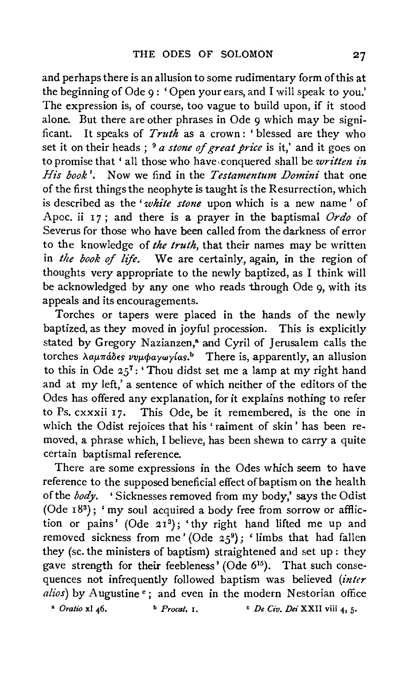and perhaps there is an allusion to some rudimentary form of this at the beginning of Ode 9 : 'Open your ears, and I will speak to you.' The expression is, of course, too vague to build upon, if it stood alone. But there are other phrases in Ode 9 which may be significant. It speaks of *Truth* as a crown : ' blessed are they who set it on their heads; <sup>9</sup> *a stone of great price* is it,' and it goes on to promise that 'all those who have conquered shall be *written* in *His book'.* Now we find in the *Testamentum Domini* that one of the first things the neophyte is taught is the Resurrection, which is described as the *'white stone* upon which is a new name ' of Apoc. ii 17; and there is a prayer in the baptismal *Ordo* of Severus for those who have been called from the darkness of error to the knowledge of *the truth,* that their names may be written in *the book of life.* We are certainly, again, in the region of thoughts very appropriate to the newly baptized, as I think will be acknowledged by any one who reads through Ode 9, with its appeals and its encouragements.

Torches or tapers were placed in the hands of the newly baptized, as they moved in joyful procession. This is explicitly stated by Gregory Nazianzen,<sup>a</sup> and Cyril of Jerusalem calls the torches λαμπάδες *vvμφαγωγίαs.*<sup>b</sup> There is, apparently, an allusion to this in Ode  $25^7$ : 'Thou didst set me a lamp at my right hand and at my left,' a sentence of which neither of the editors of the Odes has offered any explanation, for it explains nothing to refer to Ps. cxxxii 17. This Ode, be it remembered, is the one in which the Odist rejoices that his 'raiment of skin' has been removed, a phrase which, I believe, has been shewn to carry a quite certain baptismal reference.

There are some expressions in the Odes which seem to have reference to the supposed beneficial effect of baptism on the health of the *body.* ' Sicknesses removed from my body,' says the Odist (Ode  $18^3$ ); 'my soul acquired a body free from sorrow or affliction or pains' (Ode  $21^3$ ); 'thy right hand lifted me up and removed sickness from me' (Ode  $25^9$ ); 'limbs that had fallen they (se. the ministers of baptism) straightened and set up: they gave strength for their feebleness' (Ode 6<sup>15</sup>). That such consequences not infrequently followed baptism was believed *(inter alios*) by Augustine<sup>e</sup>; and even in the modern Nestorian office

<sup>a</sup> *Oratio* x1 46. b *Procat.* **i**,  $P$  <sup>c</sup> *De Civ. Dei* XXII viii 4, 5.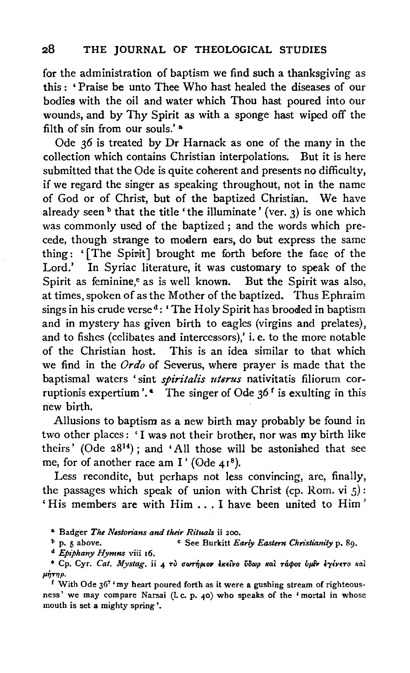for the administration of baptism we find such a thanksgiving as this : ' Praise be unto Thee Who hast healed the diseases of our bodies with the oil and water which Thou hast poured into our wounds, and by Thy Spirit as with a sponge hast wiped off the filth of sin from our souls.' a

Ode *36* is treated by Dr Harnack as one of the many in the collection which contains Christian interpolations. But it is here submitted that the Ode is quite coherent and presents no difficulty, if we regard the singer as speaking throughout, not in the name of God or of Christ, but of the baptized Christian. We have already seen  $\frac{b}{c}$  that the title 'the illuminate' (ver. 3) is one which was commonly used of the baptized ; and the words which precede, though strange to modern ears, do but express the same thing: '[The Spirit] brought me forth before the face of the Lord.' In Syriac literature, it was customary to speak of the Spirit as feminine,<sup>e</sup> as is well known. But the Spirit was also, at times, spoken of as the Mother of the baptized. Thus Ephraim sings in his crude verse<sup>d</sup>: 'The Holy Spirit has brooded in baptism and in mystery has given birth to eagles (virgins and prelates), and to fishes (celibates and intercessors),' i.e. to the more notable of the Christian host. This is an idea similar to that which we find in the *Ordo* of Severus, where prayer is made that the baptismal waters 'sint *spiritalis uterus* nativitatis filiorum corruptionis expertium'.  $\bullet$  The singer of Ode 36<sup>f</sup> is exulting in this new birth.

Allusions to baptism as a new birth may probably be found in two other places: 'I was not their brother, nor was my birth like theirs' (Ode  $28^{14}$ ); and 'All those will be astonished that see me, for of another race am I' ( $\odot$ de  $41^8$ ).

Less recondite, but perhaps not less convincing, are, finally, the passages which speak of union with Christ (cp. Rom. vi  $5$ ): 'His members are with Him . . . I have been united to Him'

& Badger *The Nestorians and their Rituals* ii 200.

<sup>b</sup> p. 5 above. <sup>0</sup> See Burkitt *Early Eastern Christianity* p. 89.

<sup>d</sup>*Epiphany Hymns* viii 16.

<sup>e</sup> Cp. Cyr. Cat. Mystag. ii 4 τι σωτήριον εκείνο ύδωρ και τάφος ύμεν εγένετο και μήτηρ.

<sup>f</sup> With Ode  $36<sup>7</sup>$  'my heart poured forth as it were a gushing stream of righteousness' we may compare Narsai (l. c. p. 40) who speaks of the 'mortal in whose mouth is set a mighty spring'.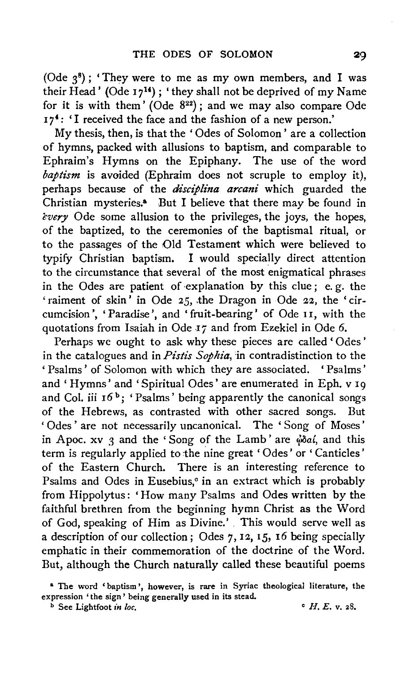(Ode  $3^8$ ); 'They were to me as my own members, and I was their Head' (Ode  $17^{14}$ ); 'they shall not be deprived of my Name for it is with them' (Ode  $8^{22}$ ); and we may also compare Ode  $17<sup>4</sup>$ : 'I received the face and the fashion of a new person.'

My thesis, then, is that the 'Odes of Solomon' are a collection of hymns, packed with allusions to baptism, and comparable to Ephraim's Hymns on the Epiphany. The use of the word *baptism* is avoided (Ephraim does not scruple to employ it), perhaps because of the *disciplina arcani* which guarded the Christian mysteries.• But I believe that there may be found in *every* Ode some allusion to the privileges, the joys, the hopes, of the baptized, to the ceremonies of the baptismal ritual, or to the passages of the Old Testament which were believed to typify Christian baptism. I would specially direct attention to the circumstance that several of the most enigmatical phrases in the Odes are patient of ·explanation by this clue ; e. g. the 'raiment of skin' in Ode *25,* .the Dragon in Ode 22, the 'circumcision', 'Paradise', and 'fruit-bearing' of Ode 11, with the quotations from Isaiah in Ode 17 and from Ezekiel in Ode 6.

Perhaps we ought to ask why these pieces are called ' Odes ' in the catalogues and in *Pistis Sophia,* in contradistinction to the ' Psalms' of Solomon with which they are associated. ' Psalms' and 'Hymns' and 'Spiritual Odes' are enumerated in Eph. v I9 and Col. iii  $16^b$ ; 'Psalms' being apparently the canonical songs of the Hebrews, as contrasted with other sacred songs. But ' Odes ' are not necessarily uncanonical. The ' Song of Moses' in Apoc. xv  $\alpha$  and the 'Song of the Lamb' are  $\phi$  $\delta a$ , and this term is regularly applied to the nine great 'Odes' or 'Canticles' of the Eastern Church. There is an interesting reference to Psalms and Odes in Eusebius, $\circ$  in an extract which is probably from Hippolytus: 'How many Psalms and Odes written by the faithful brethren from the beginning hymn Christ as the Word of God, speaking of Him as Divine.' . This would serve well as a description of our collection; Odes  $7, 12, 15, 16$  being specially emphatic in their commemoration of the doctrine of the Word. But, although the Church naturally called these beautiful poems

<sup>&</sup>lt;sup>a</sup> The word 'baptism', however, is rare in Syriac theological literature, the expression 'the sign' being generally used in its stead.

 $\overrightarrow{b}$  See Lightfoot *in loc*,  $\overrightarrow{c}$  *H. E. v. 28.*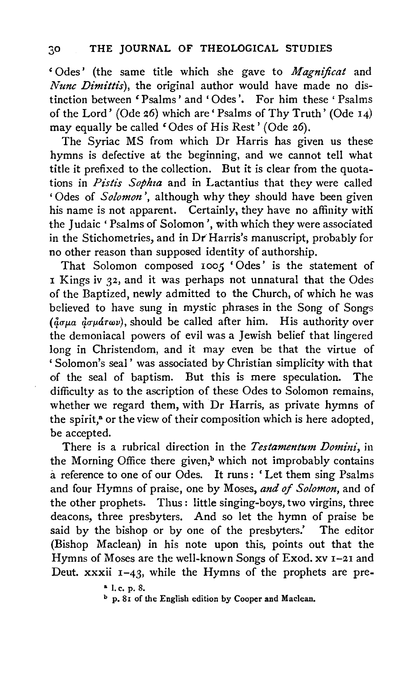'Odes' (the same title which she gave to *Magnificat* and *Nunc Dimittis),* the original author would have made no distinction between 'Psalms' and 'Odes'. For him these ' Psalms of the Lord' (Ode 26) which are' Psalms of Thy Truth' (Ode 14) may equally be called 'Odes of His Rest' (Ode 26).

The Syriac MS from which Dr Harris has given us these hymns is defective at the beginning, and we cannot tell what title it prefixed to the collection. But it is clear from the quotations in *Pistis Sophza* and in Lactantius that they were called 'Odes of *Solomon'*, although why they should have been given his name is not apparent. Certainly, they have no affinity with the Judaic 'Psalms of Solomon', with which they were associated in the Stichometries, and in Dr Harris's manuscript, probably for no other reason than supposed identity of authorship.

That Solomon composed 1005 'Odes' is the statement of I Kings iv 32, and it was perhaps not unnatural that the Odes of the Baptized, newly admitted to the Church, of which he was believed to have sung in mystic phrases in the Song of Songs *(agua doudrwv)*, should be called after him. His authority over the demoniacal powers of evil was a Jewish belief that lingered long in Christendom, and it may even be that the virtue of 'Solomon's seal' was associated by Christian simplicity with that of the seal of baptism. But this is mere speculation. The difficulty as to the ascription of these Odes to Solomon remains, whether we regard them, with Dr Harris, as private hymns of the spirit,<sup>8</sup> or the view of their composition which is here adopted, be accepted.

There is a rubrical direction in the *Testamentum Domini,* in the Morning Office there given,<sup>b</sup> which not improbably contains a reference to one of our Odes. It runs : ' Let them sing Psalms and four Hymns of praise, one by Moses, *and of Solomon,* and of the other prophets. Thus : little singing-boys, two virgins, three deacons, three presbyters. And so let the hymn of praise be said by the bishop or by one of the presbyters.' The editor (Bishop Maclean) in his note upon this, points out that the Hymns of Moses are the well-known Songs of Exod. xv 1-21 and Deut.  $xxxii$   $1-43$ , while the Hymns of the prophets are pre-

 $\frac{a}{b}$  I. c. p. 8.

b p. 81 of the English edition by Cooper and Maclean.